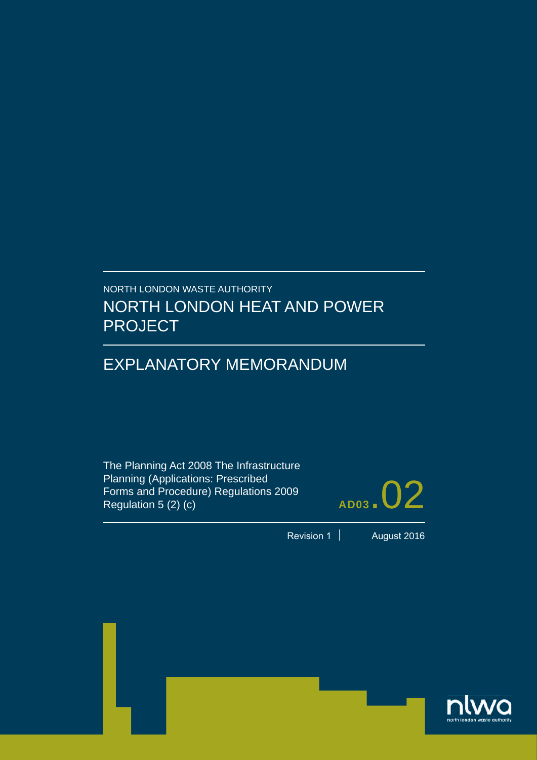# NORTH LONDON WASTE AUTHORITY NORTH LONDON HEAT AND POWER PROJECT

# EXPLANATORY MEMORANDUM

The Planning Act 2008 The Infrastructure Planning (Applications: Prescribed Forms and Procedure) Regulations 2009 Regulation 5 (2) (c)



Revision 1 | August 2016

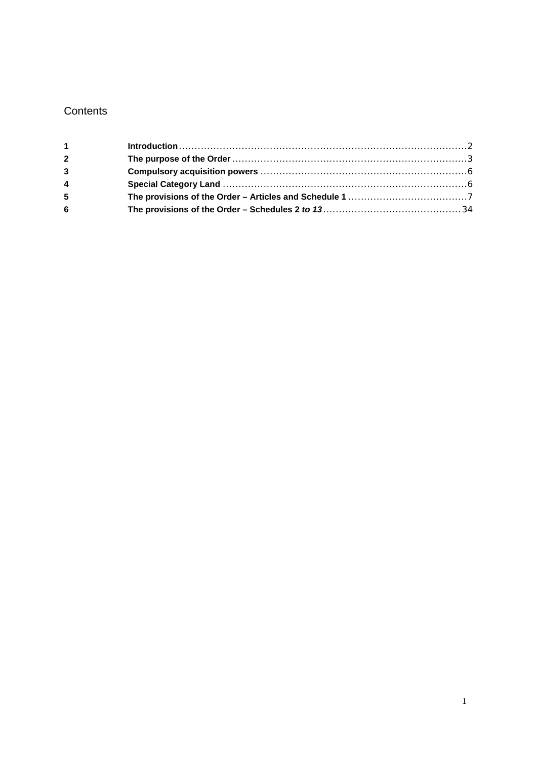### **Contents**

| 1 <sup>1</sup> |  |
|----------------|--|
| $\mathbf{2}$   |  |
| $\overline{3}$ |  |
| 4              |  |
| 5              |  |
| 6              |  |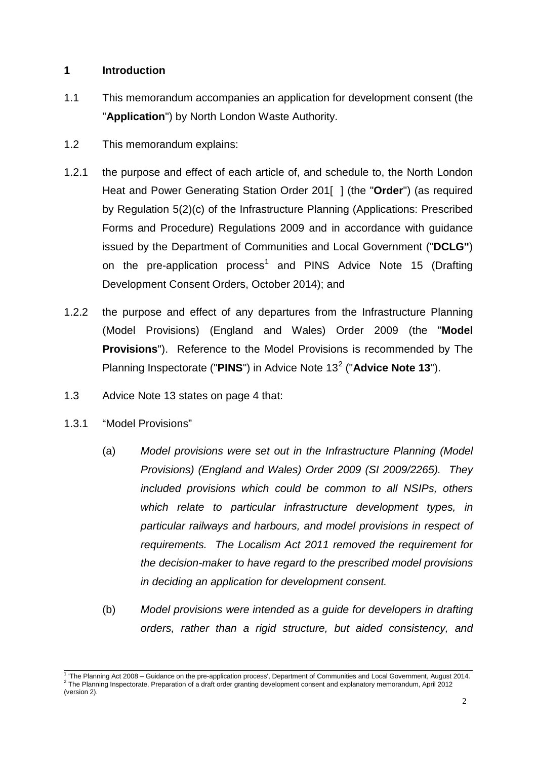#### <span id="page-2-0"></span>**1 Introduction**

- 1.1 This memorandum accompanies an application for development consent (the "**Application**") by North London Waste Authority.
- 1.2 This memorandum explains:
- 1.2.1 the purpose and effect of each article of, and schedule to, the North London Heat and Power Generating Station Order 201[ ] (the "**Order**") (as required by Regulation 5(2)(c) of the Infrastructure Planning (Applications: Prescribed Forms and Procedure) Regulations 2009 and in accordance with guidance issued by the Department of Communities and Local Government ("**DCLG"**) on the pre-application process<sup>[1](#page-2-1)</sup> and PINS Advice Note 15 (Drafting Development Consent Orders, October 2014); and
- 1.2.2 the purpose and effect of any departures from the Infrastructure Planning (Model Provisions) (England and Wales) Order 2009 (the "**Model Provisions**"). Reference to the Model Provisions is recommended by The Planning Inspectorate ("PINS") in Advice Note 13<sup>[2](#page-2-2)</sup> ("Advice Note 13").
- 1.3 Advice Note 13 states on page 4 that:
- 1.3.1 "Model Provisions"
	- (a) *Model provisions were set out in the Infrastructure Planning (Model Provisions) (England and Wales) Order 2009 (SI 2009/2265). They included provisions which could be common to all NSIPs, others which relate to particular infrastructure development types, in particular railways and harbours, and model provisions in respect of requirements. The Localism Act 2011 removed the requirement for the decision-maker to have regard to the prescribed model provisions in deciding an application for development consent.*
	- (b) *Model provisions were intended as a guide for developers in drafting orders, rather than a rigid structure, but aided consistency, and*

<span id="page-2-2"></span><span id="page-2-1"></span><sup>&</sup>lt;sup>1</sup> 'The Planning Act 2008 – Guidance on the pre-application process', Department of Communities and Local Government, August 2014.<br><sup>2</sup> The Planning Inspectorate, Preparation of a draft order granting development consent (version 2).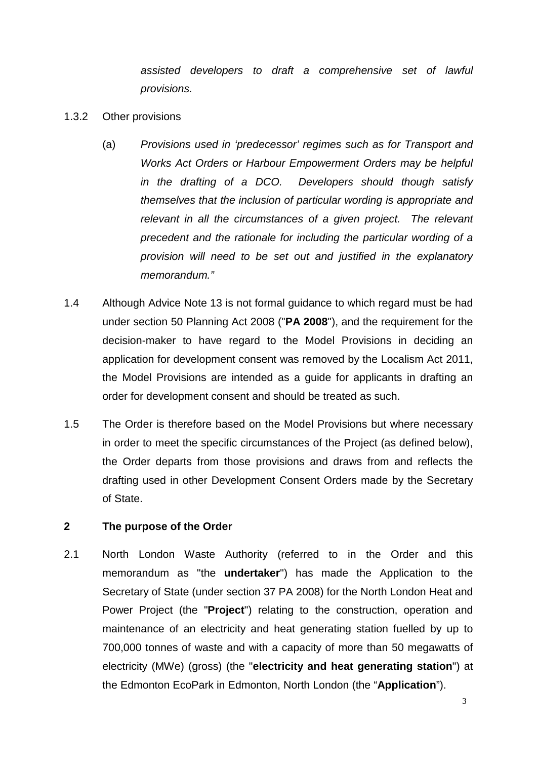*assisted developers to draft a comprehensive set of lawful provisions.* 

- 1.3.2 Other provisions
	- (a) *Provisions used in 'predecessor' regimes such as for Transport and Works Act Orders or Harbour Empowerment Orders may be helpful in the drafting of a DCO. Developers should though satisfy themselves that the inclusion of particular wording is appropriate and*  relevant in all the circumstances of a given project. The relevant *precedent and the rationale for including the particular wording of a provision will need to be set out and justified in the explanatory memorandum."*
- 1.4 Although Advice Note 13 is not formal guidance to which regard must be had under section 50 Planning Act 2008 ("**PA 2008**"), and the requirement for the decision-maker to have regard to the Model Provisions in deciding an application for development consent was removed by the Localism Act 2011, the Model Provisions are intended as a guide for applicants in drafting an order for development consent and should be treated as such.
- 1.5 The Order is therefore based on the Model Provisions but where necessary in order to meet the specific circumstances of the Project (as defined below), the Order departs from those provisions and draws from and reflects the drafting used in other Development Consent Orders made by the Secretary of State.

#### <span id="page-3-0"></span>**2 The purpose of the Order**

2.1 North London Waste Authority (referred to in the Order and this memorandum as "the **undertaker**") has made the Application to the Secretary of State (under section 37 PA 2008) for the North London Heat and Power Project (the "**Project**") relating to the construction, operation and maintenance of an electricity and heat generating station fuelled by up to 700,000 tonnes of waste and with a capacity of more than 50 megawatts of electricity (MWe) (gross) (the "**electricity and heat generating station**") at the Edmonton EcoPark in Edmonton, North London (the "**Application**").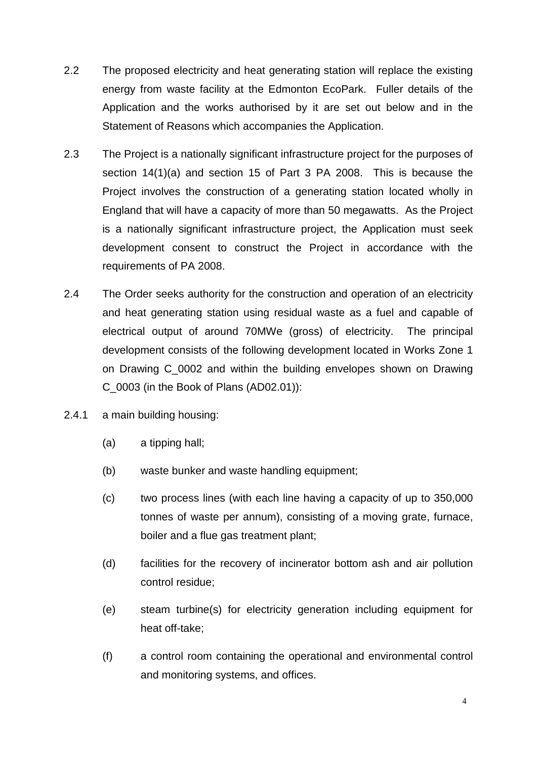- 2.2 The proposed electricity and heat generating station will replace the existing energy from waste facility at the Edmonton EcoPark. Fuller details of the Application and the works authorised by it are set out below and in the Statement of Reasons which accompanies the Application.
- 2.3 The Project is a nationally significant infrastructure project for the purposes of section 14(1)(a) and section 15 of Part 3 PA 2008. This is because the Project involves the construction of a generating station located wholly in England that will have a capacity of more than 50 megawatts. As the Project is a nationally significant infrastructure project, the Application must seek development consent to construct the Project in accordance with the requirements of PA 2008.
- 2.4 The Order seeks authority for the construction and operation of an electricity and heat generating station using residual waste as a fuel and capable of electrical output of around 70MWe (gross) of electricity. The principal development consists of the following development located in Works Zone 1 on Drawing C\_0002 and within the building envelopes shown on Drawing C\_0003 (in the Book of Plans (AD02.01)):
- 2.4.1 a main building housing:
	- (a) a tipping hall;
	- (b) waste bunker and waste handling equipment;
	- (c) two process lines (with each line having a capacity of up to 350,000 tonnes of waste per annum), consisting of a moving grate, furnace, boiler and a flue gas treatment plant;
	- (d) facilities for the recovery of incinerator bottom ash and air pollution control residue;
	- (e) steam turbine(s) for electricity generation including equipment for heat off-take;
	- (f) a control room containing the operational and environmental control and monitoring systems, and offices.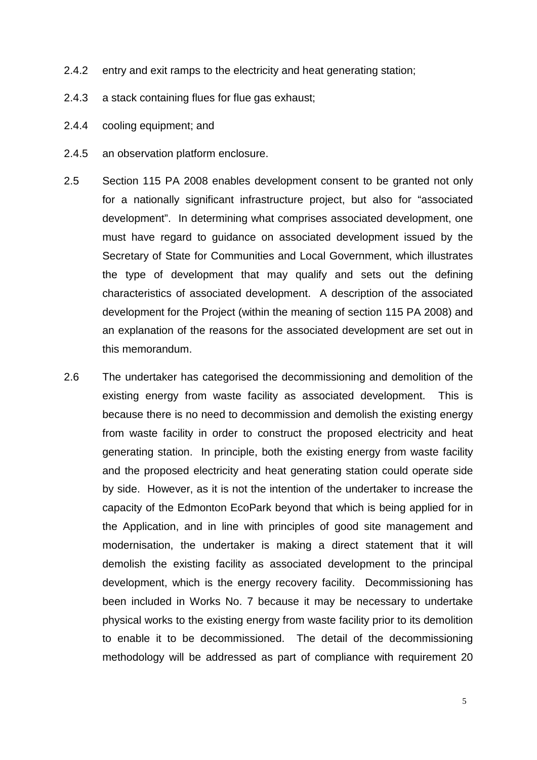- 2.4.2 entry and exit ramps to the electricity and heat generating station;
- 2.4.3 a stack containing flues for flue gas exhaust;
- 2.4.4 cooling equipment; and
- 2.4.5 an observation platform enclosure.
- 2.5 Section 115 PA 2008 enables development consent to be granted not only for a nationally significant infrastructure project, but also for "associated development". In determining what comprises associated development, one must have regard to guidance on associated development issued by the Secretary of State for Communities and Local Government, which illustrates the type of development that may qualify and sets out the defining characteristics of associated development. A description of the associated development for the Project (within the meaning of section 115 PA 2008) and an explanation of the reasons for the associated development are set out in this memorandum.
- 2.6 The undertaker has categorised the decommissioning and demolition of the existing energy from waste facility as associated development. This is because there is no need to decommission and demolish the existing energy from waste facility in order to construct the proposed electricity and heat generating station. In principle, both the existing energy from waste facility and the proposed electricity and heat generating station could operate side by side. However, as it is not the intention of the undertaker to increase the capacity of the Edmonton EcoPark beyond that which is being applied for in the Application, and in line with principles of good site management and modernisation, the undertaker is making a direct statement that it will demolish the existing facility as associated development to the principal development, which is the energy recovery facility. Decommissioning has been included in Works No. 7 because it may be necessary to undertake physical works to the existing energy from waste facility prior to its demolition to enable it to be decommissioned. The detail of the decommissioning methodology will be addressed as part of compliance with requirement 20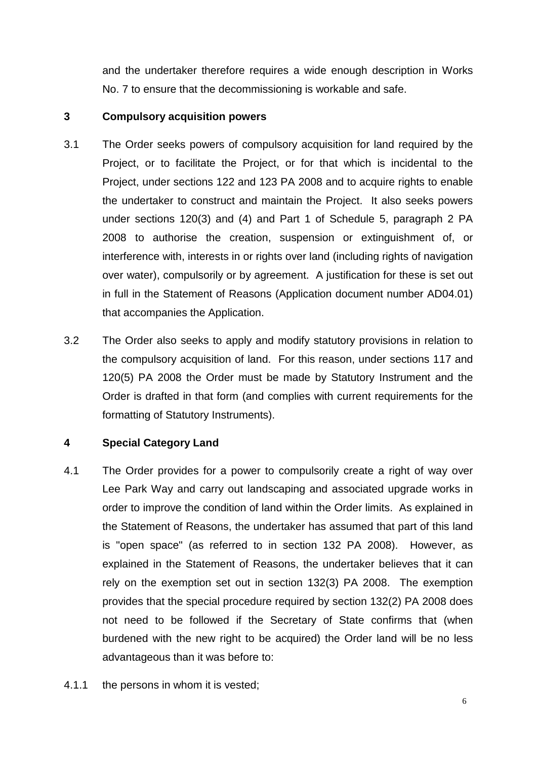and the undertaker therefore requires a wide enough description in Works No. 7 to ensure that the decommissioning is workable and safe.

#### <span id="page-6-0"></span>**3 Compulsory acquisition powers**

- 3.1 The Order seeks powers of compulsory acquisition for land required by the Project, or to facilitate the Project, or for that which is incidental to the Project, under sections 122 and 123 PA 2008 and to acquire rights to enable the undertaker to construct and maintain the Project. It also seeks powers under sections 120(3) and (4) and Part 1 of Schedule 5, paragraph 2 PA 2008 to authorise the creation, suspension or extinguishment of, or interference with, interests in or rights over land (including rights of navigation over water), compulsorily or by agreement. A justification for these is set out in full in the Statement of Reasons (Application document number AD04.01) that accompanies the Application.
- 3.2 The Order also seeks to apply and modify statutory provisions in relation to the compulsory acquisition of land. For this reason, under sections 117 and 120(5) PA 2008 the Order must be made by Statutory Instrument and the Order is drafted in that form (and complies with current requirements for the formatting of Statutory Instruments).

#### <span id="page-6-1"></span>**4 Special Category Land**

- 4.1 The Order provides for a power to compulsorily create a right of way over Lee Park Way and carry out landscaping and associated upgrade works in order to improve the condition of land within the Order limits. As explained in the Statement of Reasons, the undertaker has assumed that part of this land is "open space" (as referred to in section 132 PA 2008). However, as explained in the Statement of Reasons, the undertaker believes that it can rely on the exemption set out in section 132(3) PA 2008. The exemption provides that the special procedure required by section 132(2) PA 2008 does not need to be followed if the Secretary of State confirms that (when burdened with the new right to be acquired) the Order land will be no less advantageous than it was before to:
- 4.1.1 the persons in whom it is vested;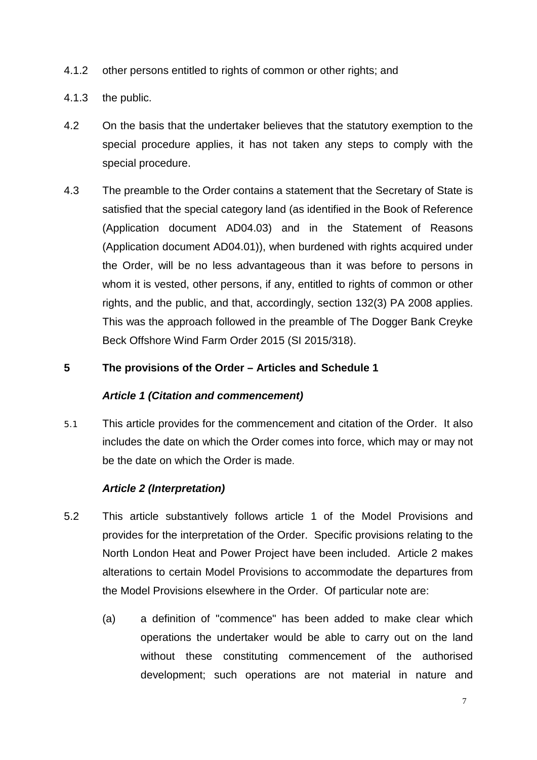- 4.1.2 other persons entitled to rights of common or other rights; and
- 4.1.3 the public.
- 4.2 On the basis that the undertaker believes that the statutory exemption to the special procedure applies, it has not taken any steps to comply with the special procedure.
- 4.3 The preamble to the Order contains a statement that the Secretary of State is satisfied that the special category land (as identified in the Book of Reference (Application document AD04.03) and in the Statement of Reasons (Application document AD04.01)), when burdened with rights acquired under the Order, will be no less advantageous than it was before to persons in whom it is vested, other persons, if any, entitled to rights of common or other rights, and the public, and that, accordingly, section 132(3) PA 2008 applies. This was the approach followed in the preamble of The Dogger Bank Creyke Beck Offshore Wind Farm Order 2015 (SI 2015/318).

#### <span id="page-7-0"></span>**5 The provisions of the Order – Articles and Schedule 1**

#### *Article 1 (Citation and commencement)*

5.1 This article provides for the commencement and citation of the Order. It also includes the date on which the Order comes into force, which may or may not be the date on which the Order is made.

#### *Article 2 (Interpretation)*

- 5.2 This article substantively follows article 1 of the Model Provisions and provides for the interpretation of the Order. Specific provisions relating to the North London Heat and Power Project have been included. Article 2 makes alterations to certain Model Provisions to accommodate the departures from the Model Provisions elsewhere in the Order. Of particular note are:
	- (a) a definition of "commence" has been added to make clear which operations the undertaker would be able to carry out on the land without these constituting commencement of the authorised development; such operations are not material in nature and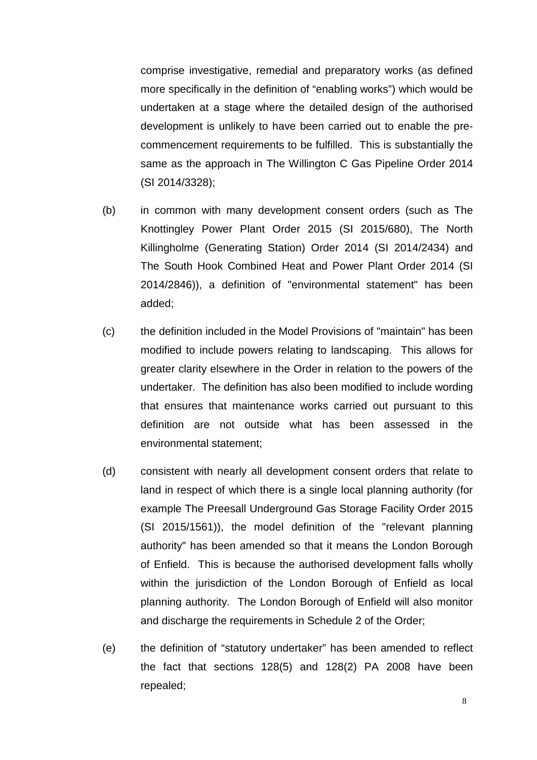comprise investigative, remedial and preparatory works (as defined more specifically in the definition of "enabling works") which would be undertaken at a stage where the detailed design of the authorised development is unlikely to have been carried out to enable the precommencement requirements to be fulfilled. This is substantially the same as the approach in The Willington C Gas Pipeline Order 2014 (SI 2014/3328);

- (b) in common with many development consent orders (such as The Knottingley Power Plant Order 2015 (SI 2015/680), The North Killingholme (Generating Station) Order 2014 (SI 2014/2434) and The South Hook Combined Heat and Power Plant Order 2014 (SI 2014/2846)), a definition of "environmental statement" has been added;
- (c) the definition included in the Model Provisions of "maintain" has been modified to include powers relating to landscaping. This allows for greater clarity elsewhere in the Order in relation to the powers of the undertaker. The definition has also been modified to include wording that ensures that maintenance works carried out pursuant to this definition are not outside what has been assessed in the environmental statement;
- (d) consistent with nearly all development consent orders that relate to land in respect of which there is a single local planning authority (for example The Preesall Underground Gas Storage Facility Order 2015 (SI 2015/1561)), the model definition of the "relevant planning authority" has been amended so that it means the London Borough of Enfield. This is because the authorised development falls wholly within the jurisdiction of the London Borough of Enfield as local planning authority. The London Borough of Enfield will also monitor and discharge the requirements in Schedule 2 of the Order;
- (e) the definition of "statutory undertaker" has been amended to reflect the fact that sections 128(5) and 128(2) PA 2008 have been repealed;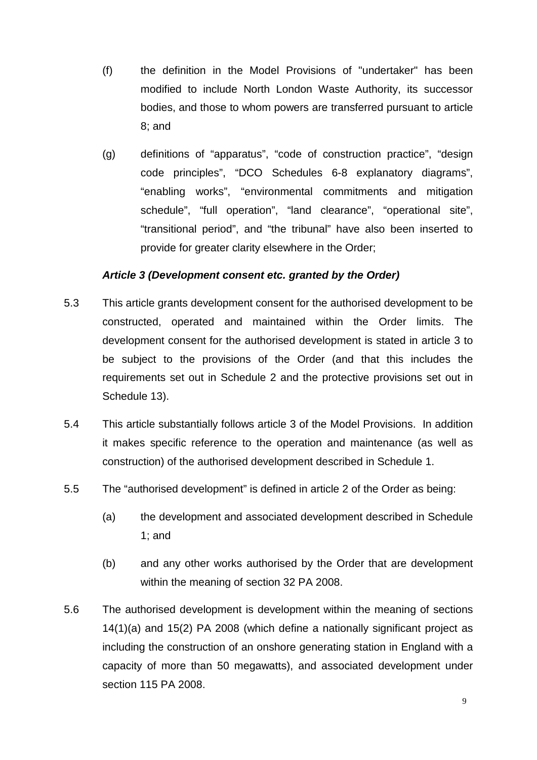- (f) the definition in the Model Provisions of "undertaker" has been modified to include North London Waste Authority, its successor bodies, and those to whom powers are transferred pursuant to article 8; and
- (g) definitions of "apparatus", "code of construction practice", "design code principles", "DCO Schedules 6-8 explanatory diagrams", "enabling works", "environmental commitments and mitigation schedule", "full operation", "land clearance", "operational site", "transitional period", and "the tribunal" have also been inserted to provide for greater clarity elsewhere in the Order;

#### *Article 3 (Development consent etc. granted by the Order)*

- 5.3 This article grants development consent for the authorised development to be constructed, operated and maintained within the Order limits. The development consent for the authorised development is stated in article 3 to be subject to the provisions of the Order (and that this includes the requirements set out in Schedule 2 and the protective provisions set out in Schedule 13).
- 5.4 This article substantially follows article 3 of the Model Provisions. In addition it makes specific reference to the operation and maintenance (as well as construction) of the authorised development described in Schedule 1.
- 5.5 The "authorised development" is defined in article 2 of the Order as being:
	- (a) the development and associated development described in Schedule 1; and
	- (b) and any other works authorised by the Order that are development within the meaning of section 32 PA 2008.
- 5.6 The authorised development is development within the meaning of sections 14(1)(a) and 15(2) PA 2008 (which define a nationally significant project as including the construction of an onshore generating station in England with a capacity of more than 50 megawatts), and associated development under section 115 PA 2008.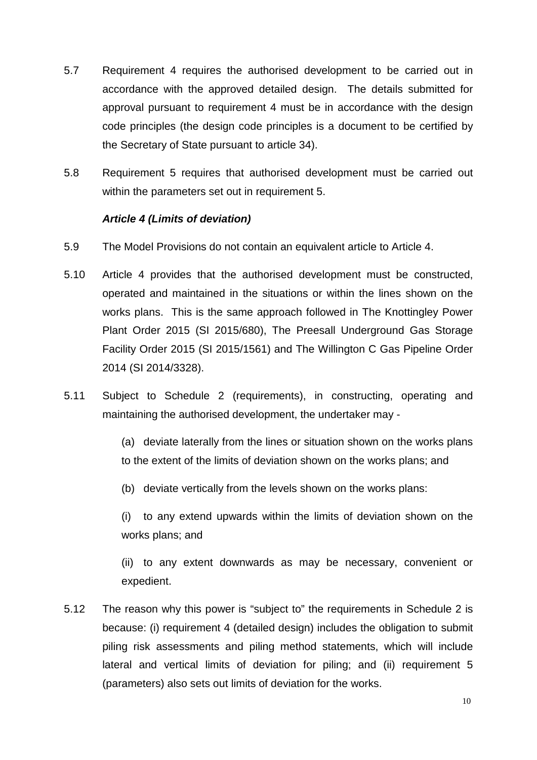- 5.7 Requirement 4 requires the authorised development to be carried out in accordance with the approved detailed design. The details submitted for approval pursuant to requirement 4 must be in accordance with the design code principles (the design code principles is a document to be certified by the Secretary of State pursuant to article 34).
- 5.8 Requirement 5 requires that authorised development must be carried out within the parameters set out in requirement 5.

#### *Article 4 (Limits of deviation)*

- 5.9 The Model Provisions do not contain an equivalent article to Article 4.
- 5.10 Article 4 provides that the authorised development must be constructed, operated and maintained in the situations or within the lines shown on the works plans. This is the same approach followed in The Knottingley Power Plant Order 2015 (SI 2015/680), The Preesall Underground Gas Storage Facility Order 2015 (SI 2015/1561) and The Willington C Gas Pipeline Order 2014 (SI 2014/3328).
- 5.11 Subject to Schedule 2 (requirements), in constructing, operating and maintaining the authorised development, the undertaker may -

(a) deviate laterally from the lines or situation shown on the works plans to the extent of the limits of deviation shown on the works plans; and

(b) deviate vertically from the levels shown on the works plans:

(i) to any extend upwards within the limits of deviation shown on the works plans; and

(ii) to any extent downwards as may be necessary, convenient or expedient.

5.12 The reason why this power is "subject to" the requirements in Schedule 2 is because: (i) requirement 4 (detailed design) includes the obligation to submit piling risk assessments and piling method statements, which will include lateral and vertical limits of deviation for piling; and (ii) requirement 5 (parameters) also sets out limits of deviation for the works.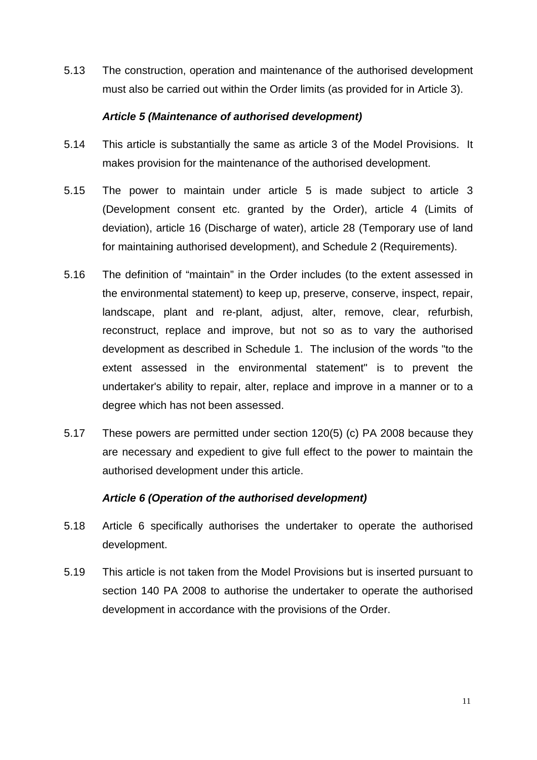5.13 The construction, operation and maintenance of the authorised development must also be carried out within the Order limits (as provided for in Article 3).

#### *Article 5 (Maintenance of authorised development)*

- 5.14 This article is substantially the same as article 3 of the Model Provisions. It makes provision for the maintenance of the authorised development.
- 5.15 The power to maintain under article 5 is made subject to article 3 (Development consent etc. granted by the Order), article 4 (Limits of deviation), article 16 (Discharge of water), article 28 (Temporary use of land for maintaining authorised development), and Schedule 2 (Requirements).
- 5.16 The definition of "maintain" in the Order includes (to the extent assessed in the environmental statement) to keep up, preserve, conserve, inspect, repair, landscape, plant and re-plant, adjust, alter, remove, clear, refurbish, reconstruct, replace and improve, but not so as to vary the authorised development as described in Schedule 1. The inclusion of the words "to the extent assessed in the environmental statement" is to prevent the undertaker's ability to repair, alter, replace and improve in a manner or to a degree which has not been assessed.
- 5.17 These powers are permitted under section 120(5) (c) PA 2008 because they are necessary and expedient to give full effect to the power to maintain the authorised development under this article.

#### *Article 6 (Operation of the authorised development)*

- 5.18 Article 6 specifically authorises the undertaker to operate the authorised development.
- 5.19 This article is not taken from the Model Provisions but is inserted pursuant to section 140 PA 2008 to authorise the undertaker to operate the authorised development in accordance with the provisions of the Order.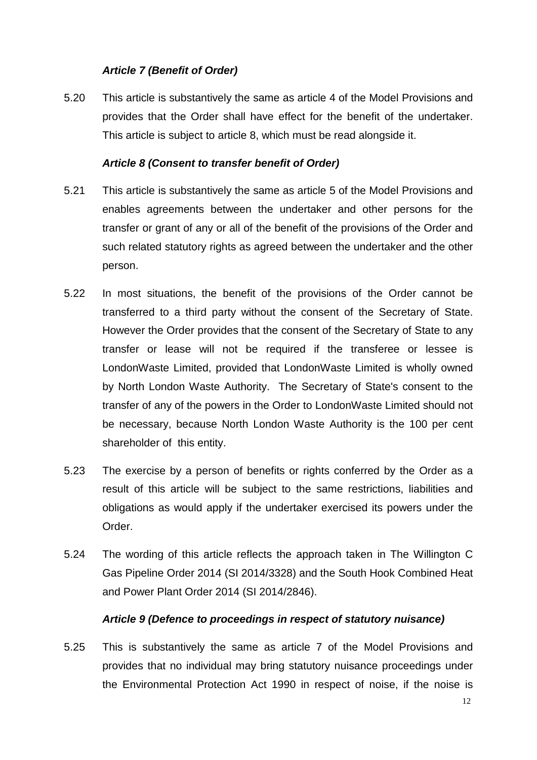#### *Article 7 (Benefit of Order)*

5.20 This article is substantively the same as article 4 of the Model Provisions and provides that the Order shall have effect for the benefit of the undertaker. This article is subject to article 8, which must be read alongside it.

#### *Article 8 (Consent to transfer benefit of Order)*

- 5.21 This article is substantively the same as article 5 of the Model Provisions and enables agreements between the undertaker and other persons for the transfer or grant of any or all of the benefit of the provisions of the Order and such related statutory rights as agreed between the undertaker and the other person.
- 5.22 In most situations, the benefit of the provisions of the Order cannot be transferred to a third party without the consent of the Secretary of State. However the Order provides that the consent of the Secretary of State to any transfer or lease will not be required if the transferee or lessee is LondonWaste Limited, provided that LondonWaste Limited is wholly owned by North London Waste Authority.The Secretary of State's consent to the transfer of any of the powers in the Order to LondonWaste Limited should not be necessary, because North London Waste Authority is the 100 per cent shareholder of this entity.
- 5.23 The exercise by a person of benefits or rights conferred by the Order as a result of this article will be subject to the same restrictions, liabilities and obligations as would apply if the undertaker exercised its powers under the Order.
- 5.24 The wording of this article reflects the approach taken in The Willington C Gas Pipeline Order 2014 (SI 2014/3328) and the South Hook Combined Heat and Power Plant Order 2014 (SI 2014/2846).

#### *Article 9 (Defence to proceedings in respect of statutory nuisance)*

5.25 This is substantively the same as article 7 of the Model Provisions and provides that no individual may bring statutory nuisance proceedings under the Environmental Protection Act 1990 in respect of noise, if the noise is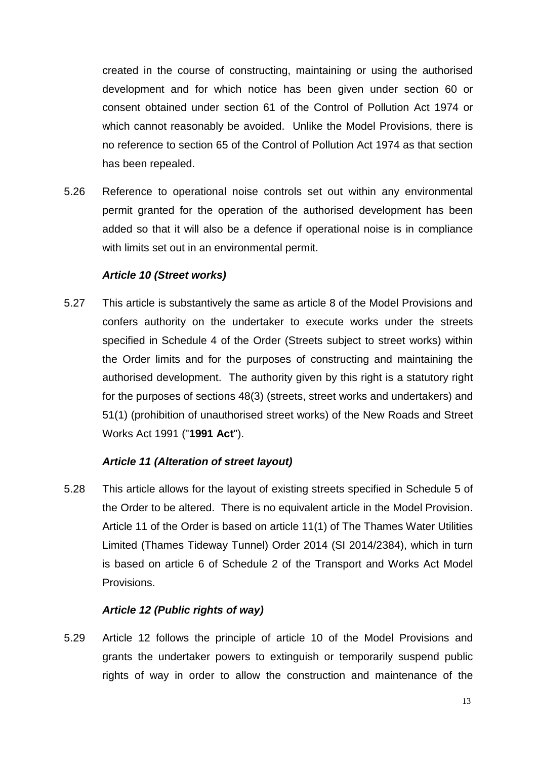created in the course of constructing, maintaining or using the authorised development and for which notice has been given under section 60 or consent obtained under section 61 of the Control of Pollution Act 1974 or which cannot reasonably be avoided. Unlike the Model Provisions, there is no reference to section 65 of the Control of Pollution Act 1974 as that section has been repealed.

5.26 Reference to operational noise controls set out within any environmental permit granted for the operation of the authorised development has been added so that it will also be a defence if operational noise is in compliance with limits set out in an environmental permit.

#### *Article 10 (Street works)*

5.27 This article is substantively the same as article 8 of the Model Provisions and confers authority on the undertaker to execute works under the streets specified in Schedule 4 of the Order (Streets subject to street works) within the Order limits and for the purposes of constructing and maintaining the authorised development. The authority given by this right is a statutory right for the purposes of sections 48(3) (streets, street works and undertakers) and 51(1) (prohibition of unauthorised street works) of the New Roads and Street Works Act 1991 ("**1991 Act**").

#### *Article 11 (Alteration of street layout)*

5.28 This article allows for the layout of existing streets specified in Schedule 5 of the Order to be altered. There is no equivalent article in the Model Provision. Article 11 of the Order is based on article 11(1) of The Thames Water Utilities Limited (Thames Tideway Tunnel) Order 2014 (SI 2014/2384), which in turn is based on article 6 of Schedule 2 of the Transport and Works Act Model Provisions.

#### *Article 12 (Public rights of way)*

5.29 Article 12 follows the principle of article 10 of the Model Provisions and grants the undertaker powers to extinguish or temporarily suspend public rights of way in order to allow the construction and maintenance of the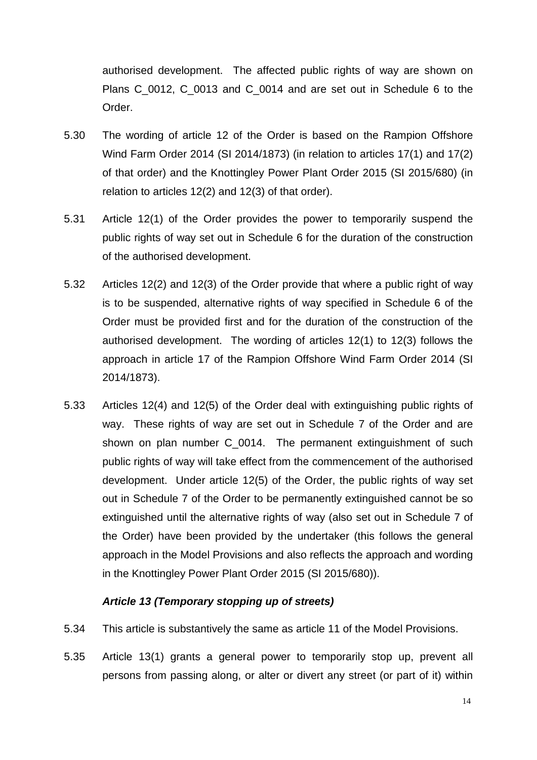authorised development. The affected public rights of way are shown on Plans C<sub>0012</sub>, C<sub>0013</sub> and C<sub>0014</sub> and are set out in Schedule 6 to the Order.

- 5.30 The wording of article 12 of the Order is based on the Rampion Offshore Wind Farm Order 2014 (SI 2014/1873) (in relation to articles 17(1) and 17(2) of that order) and the Knottingley Power Plant Order 2015 (SI 2015/680) (in relation to articles 12(2) and 12(3) of that order).
- 5.31 Article 12(1) of the Order provides the power to temporarily suspend the public rights of way set out in Schedule 6 for the duration of the construction of the authorised development.
- 5.32 Articles 12(2) and 12(3) of the Order provide that where a public right of way is to be suspended, alternative rights of way specified in Schedule 6 of the Order must be provided first and for the duration of the construction of the authorised development. The wording of articles 12(1) to 12(3) follows the approach in article 17 of the Rampion Offshore Wind Farm Order 2014 (SI 2014/1873).
- 5.33 Articles 12(4) and 12(5) of the Order deal with extinguishing public rights of way. These rights of way are set out in Schedule 7 of the Order and are shown on plan number C 0014. The permanent extinguishment of such public rights of way will take effect from the commencement of the authorised development. Under article 12(5) of the Order, the public rights of way set out in Schedule 7 of the Order to be permanently extinguished cannot be so extinguished until the alternative rights of way (also set out in Schedule 7 of the Order) have been provided by the undertaker (this follows the general approach in the Model Provisions and also reflects the approach and wording in the Knottingley Power Plant Order 2015 (SI 2015/680)).

#### *Article 13 (Temporary stopping up of streets)*

- 5.34 This article is substantively the same as article 11 of the Model Provisions.
- 5.35 Article 13(1) grants a general power to temporarily stop up, prevent all persons from passing along, or alter or divert any street (or part of it) within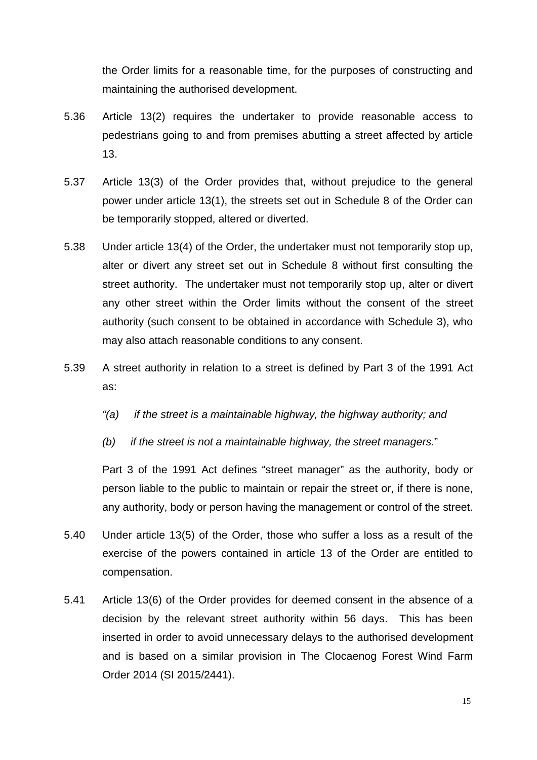the Order limits for a reasonable time, for the purposes of constructing and maintaining the authorised development.

- 5.36 Article 13(2) requires the undertaker to provide reasonable access to pedestrians going to and from premises abutting a street affected by article 13.
- 5.37 Article 13(3) of the Order provides that, without prejudice to the general power under article 13(1), the streets set out in Schedule 8 of the Order can be temporarily stopped, altered or diverted.
- 5.38 Under article 13(4) of the Order, the undertaker must not temporarily stop up, alter or divert any street set out in Schedule 8 without first consulting the street authority. The undertaker must not temporarily stop up, alter or divert any other street within the Order limits without the consent of the street authority (such consent to be obtained in accordance with Schedule 3), who may also attach reasonable conditions to any consent.
- 5.39 A street authority in relation to a street is defined by Part 3 of the 1991 Act as:
	- *"(a) if the street is a maintainable highway, the highway authority; and*
	- *(b) if the street is not a maintainable highway, the street managers.*"

Part 3 of the 1991 Act defines "street manager" as the authority, body or person liable to the public to maintain or repair the street or, if there is none, any authority, body or person having the management or control of the street.

- 5.40 Under article 13(5) of the Order, those who suffer a loss as a result of the exercise of the powers contained in article 13 of the Order are entitled to compensation.
- 5.41 Article 13(6) of the Order provides for deemed consent in the absence of a decision by the relevant street authority within 56 days. This has been inserted in order to avoid unnecessary delays to the authorised development and is based on a similar provision in The Clocaenog Forest Wind Farm Order 2014 (SI 2015/2441).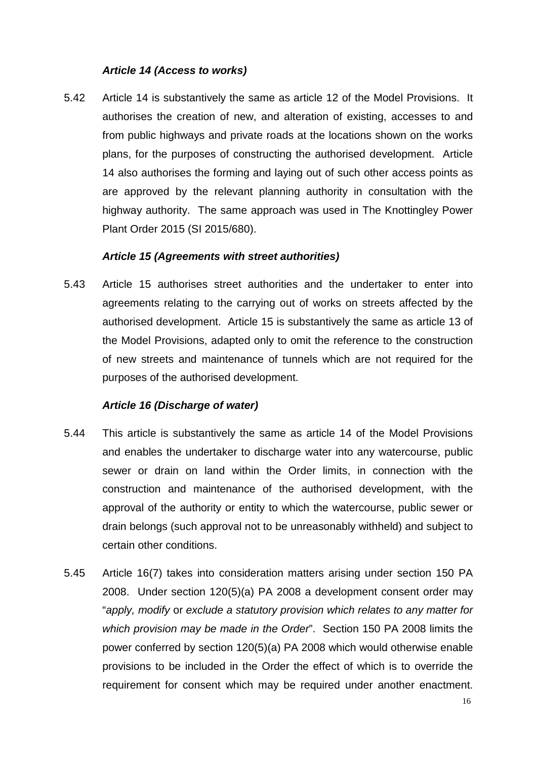#### *Article 14 (Access to works)*

5.42 Article 14 is substantively the same as article 12 of the Model Provisions. It authorises the creation of new, and alteration of existing, accesses to and from public highways and private roads at the locations shown on the works plans, for the purposes of constructing the authorised development. Article 14 also authorises the forming and laying out of such other access points as are approved by the relevant planning authority in consultation with the highway authority. The same approach was used in The Knottingley Power Plant Order 2015 (SI 2015/680).

#### *Article 15 (Agreements with street authorities)*

5.43 Article 15 authorises street authorities and the undertaker to enter into agreements relating to the carrying out of works on streets affected by the authorised development. Article 15 is substantively the same as article 13 of the Model Provisions, adapted only to omit the reference to the construction of new streets and maintenance of tunnels which are not required for the purposes of the authorised development.

#### *Article 16 (Discharge of water)*

- 5.44 This article is substantively the same as article 14 of the Model Provisions and enables the undertaker to discharge water into any watercourse, public sewer or drain on land within the Order limits, in connection with the construction and maintenance of the authorised development, with the approval of the authority or entity to which the watercourse, public sewer or drain belongs (such approval not to be unreasonably withheld) and subject to certain other conditions.
- 5.45 Article 16(7) takes into consideration matters arising under section 150 PA 2008. Under section 120(5)(a) PA 2008 a development consent order may "*apply, modify* or *exclude a statutory provision which relates to any matter for which provision may be made in the Order*". Section 150 PA 2008 limits the power conferred by section 120(5)(a) PA 2008 which would otherwise enable provisions to be included in the Order the effect of which is to override the requirement for consent which may be required under another enactment.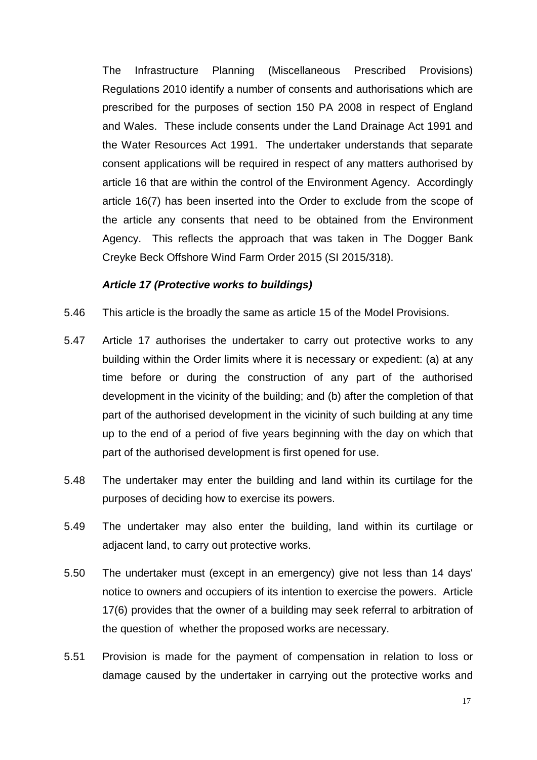The Infrastructure Planning (Miscellaneous Prescribed Provisions) Regulations 2010 identify a number of consents and authorisations which are prescribed for the purposes of section 150 PA 2008 in respect of England and Wales. These include consents under the Land Drainage Act 1991 and the Water Resources Act 1991. The undertaker understands that separate consent applications will be required in respect of any matters authorised by article 16 that are within the control of the Environment Agency. Accordingly article 16(7) has been inserted into the Order to exclude from the scope of the article any consents that need to be obtained from the Environment Agency. This reflects the approach that was taken in The Dogger Bank Creyke Beck Offshore Wind Farm Order 2015 (SI 2015/318).

#### *Article 17 (Protective works to buildings)*

- 5.46 This article is the broadly the same as article 15 of the Model Provisions.
- 5.47 Article 17 authorises the undertaker to carry out protective works to any building within the Order limits where it is necessary or expedient: (a) at any time before or during the construction of any part of the authorised development in the vicinity of the building; and (b) after the completion of that part of the authorised development in the vicinity of such building at any time up to the end of a period of five years beginning with the day on which that part of the authorised development is first opened for use.
- 5.48 The undertaker may enter the building and land within its curtilage for the purposes of deciding how to exercise its powers.
- 5.49 The undertaker may also enter the building, land within its curtilage or adjacent land, to carry out protective works.
- 5.50 The undertaker must (except in an emergency) give not less than 14 days' notice to owners and occupiers of its intention to exercise the powers. Article 17(6) provides that the owner of a building may seek referral to arbitration of the question of whether the proposed works are necessary.
- 5.51 Provision is made for the payment of compensation in relation to loss or damage caused by the undertaker in carrying out the protective works and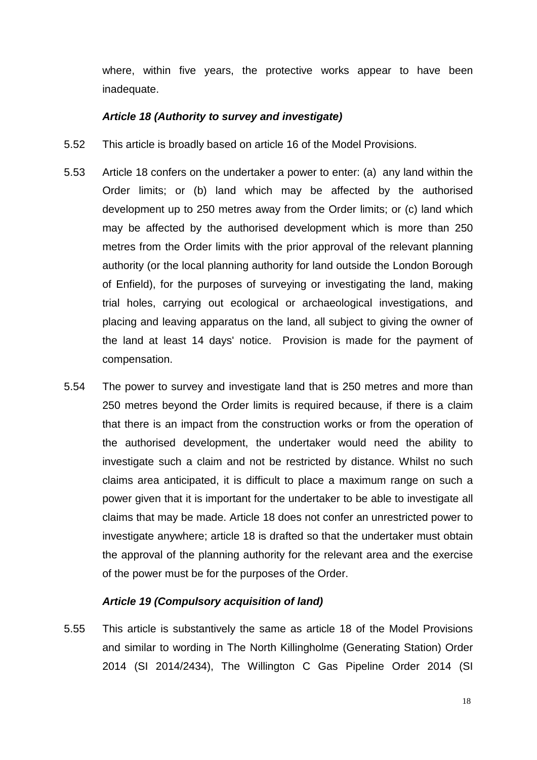where, within five years, the protective works appear to have been inadequate.

#### *Article 18 (Authority to survey and investigate)*

- 5.52 This article is broadly based on article 16 of the Model Provisions.
- 5.53 Article 18 confers on the undertaker a power to enter: (a) any land within the Order limits; or (b) land which may be affected by the authorised development up to 250 metres away from the Order limits; or (c) land which may be affected by the authorised development which is more than 250 metres from the Order limits with the prior approval of the relevant planning authority (or the local planning authority for land outside the London Borough of Enfield), for the purposes of surveying or investigating the land, making trial holes, carrying out ecological or archaeological investigations, and placing and leaving apparatus on the land, all subject to giving the owner of the land at least 14 days' notice. Provision is made for the payment of compensation.
- 5.54 The power to survey and investigate land that is 250 metres and more than 250 metres beyond the Order limits is required because, if there is a claim that there is an impact from the construction works or from the operation of the authorised development, the undertaker would need the ability to investigate such a claim and not be restricted by distance. Whilst no such claims area anticipated, it is difficult to place a maximum range on such a power given that it is important for the undertaker to be able to investigate all claims that may be made. Article 18 does not confer an unrestricted power to investigate anywhere; article 18 is drafted so that the undertaker must obtain the approval of the planning authority for the relevant area and the exercise of the power must be for the purposes of the Order.

#### *Article 19 (Compulsory acquisition of land)*

5.55 This article is substantively the same as article 18 of the Model Provisions and similar to wording in The North Killingholme (Generating Station) Order 2014 (SI 2014/2434), The Willington C Gas Pipeline Order 2014 (SI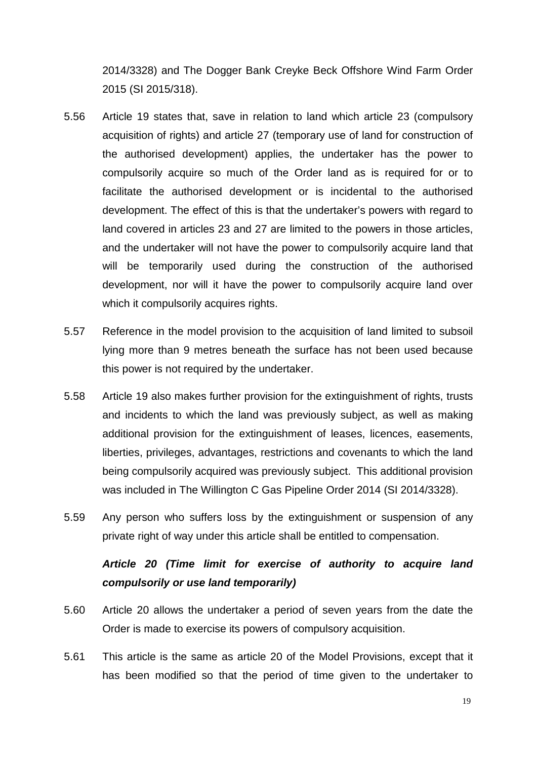2014/3328) and The Dogger Bank Creyke Beck Offshore Wind Farm Order 2015 (SI 2015/318).

- 5.56 Article 19 states that, save in relation to land which article 23 (compulsory acquisition of rights) and article 27 (temporary use of land for construction of the authorised development) applies, the undertaker has the power to compulsorily acquire so much of the Order land as is required for or to facilitate the authorised development or is incidental to the authorised development. The effect of this is that the undertaker's powers with regard to land covered in articles 23 and 27 are limited to the powers in those articles, and the undertaker will not have the power to compulsorily acquire land that will be temporarily used during the construction of the authorised development, nor will it have the power to compulsorily acquire land over which it compulsorily acquires rights.
- 5.57 Reference in the model provision to the acquisition of land limited to subsoil lying more than 9 metres beneath the surface has not been used because this power is not required by the undertaker.
- 5.58 Article 19 also makes further provision for the extinguishment of rights, trusts and incidents to which the land was previously subject, as well as making additional provision for the extinguishment of leases, licences, easements, liberties, privileges, advantages, restrictions and covenants to which the land being compulsorily acquired was previously subject. This additional provision was included in The Willington C Gas Pipeline Order 2014 (SI 2014/3328).
- 5.59 Any person who suffers loss by the extinguishment or suspension of any private right of way under this article shall be entitled to compensation.

# *Article 20 (Time limit for exercise of authority to acquire land compulsorily or use land temporarily)*

- 5.60 Article 20 allows the undertaker a period of seven years from the date the Order is made to exercise its powers of compulsory acquisition.
- 5.61 This article is the same as article 20 of the Model Provisions, except that it has been modified so that the period of time given to the undertaker to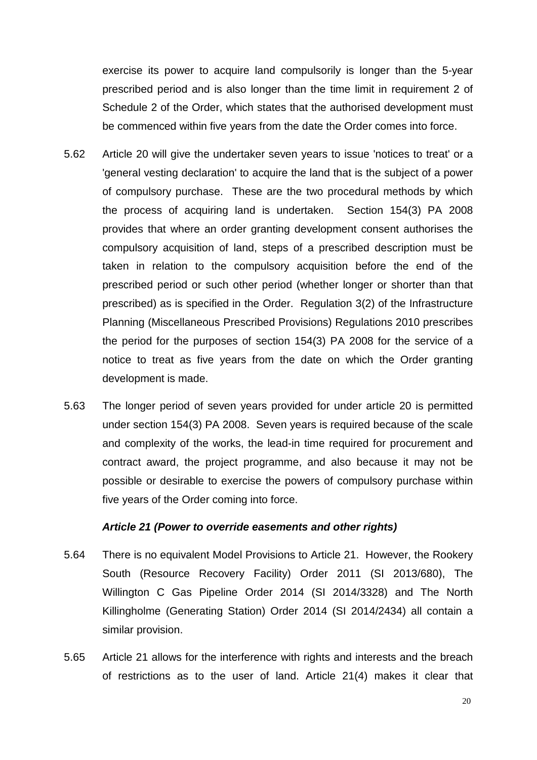exercise its power to acquire land compulsorily is longer than the 5-year prescribed period and is also longer than the time limit in requirement 2 of Schedule 2 of the Order, which states that the authorised development must be commenced within five years from the date the Order comes into force.

- 5.62 Article 20 will give the undertaker seven years to issue 'notices to treat' or a 'general vesting declaration' to acquire the land that is the subject of a power of compulsory purchase. These are the two procedural methods by which the process of acquiring land is undertaken. Section 154(3) PA 2008 provides that where an order granting development consent authorises the compulsory acquisition of land, steps of a prescribed description must be taken in relation to the compulsory acquisition before the end of the prescribed period or such other period (whether longer or shorter than that prescribed) as is specified in the Order. Regulation 3(2) of the Infrastructure Planning (Miscellaneous Prescribed Provisions) Regulations 2010 prescribes the period for the purposes of section 154(3) PA 2008 for the service of a notice to treat as five years from the date on which the Order granting development is made.
- 5.63 The longer period of seven years provided for under article 20 is permitted under section 154(3) PA 2008. Seven years is required because of the scale and complexity of the works, the lead-in time required for procurement and contract award, the project programme, and also because it may not be possible or desirable to exercise the powers of compulsory purchase within five years of the Order coming into force.

#### *Article 21 (Power to override easements and other rights)*

- 5.64 There is no equivalent Model Provisions to Article 21. However, the Rookery South (Resource Recovery Facility) Order 2011 (SI 2013/680), The Willington C Gas Pipeline Order 2014 (SI 2014/3328) and The North Killingholme (Generating Station) Order 2014 (SI 2014/2434) all contain a similar provision.
- 5.65 Article 21 allows for the interference with rights and interests and the breach of restrictions as to the user of land. Article 21(4) makes it clear that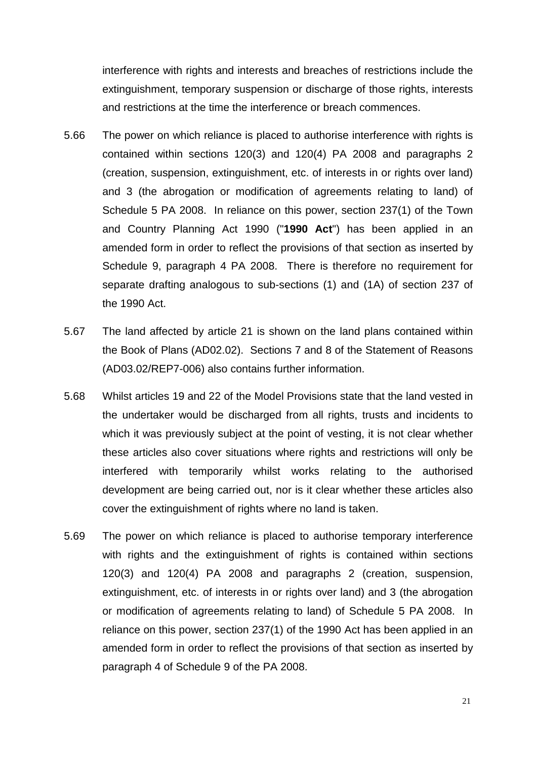interference with rights and interests and breaches of restrictions include the extinguishment, temporary suspension or discharge of those rights, interests and restrictions at the time the interference or breach commences.

- 5.66 The power on which reliance is placed to authorise interference with rights is contained within sections 120(3) and 120(4) PA 2008 and paragraphs 2 (creation, suspension, extinguishment, etc. of interests in or rights over land) and 3 (the abrogation or modification of agreements relating to land) of Schedule 5 PA 2008. In reliance on this power, section 237(1) of the Town and Country Planning Act 1990 ("**1990 Act**") has been applied in an amended form in order to reflect the provisions of that section as inserted by Schedule 9, paragraph 4 PA 2008. There is therefore no requirement for separate drafting analogous to sub-sections (1) and (1A) of section 237 of the 1990 Act.
- 5.67 The land affected by article 21 is shown on the land plans contained within the Book of Plans (AD02.02). Sections 7 and 8 of the Statement of Reasons (AD03.02/REP7-006) also contains further information.
- 5.68 Whilst articles 19 and 22 of the Model Provisions state that the land vested in the undertaker would be discharged from all rights, trusts and incidents to which it was previously subject at the point of vesting, it is not clear whether these articles also cover situations where rights and restrictions will only be interfered with temporarily whilst works relating to the authorised development are being carried out, nor is it clear whether these articles also cover the extinguishment of rights where no land is taken.
- 5.69 The power on which reliance is placed to authorise temporary interference with rights and the extinguishment of rights is contained within sections 120(3) and 120(4) PA 2008 and paragraphs 2 (creation, suspension, extinguishment, etc. of interests in or rights over land) and 3 (the abrogation or modification of agreements relating to land) of Schedule 5 PA 2008. In reliance on this power, section 237(1) of the 1990 Act has been applied in an amended form in order to reflect the provisions of that section as inserted by paragraph 4 of Schedule 9 of the PA 2008.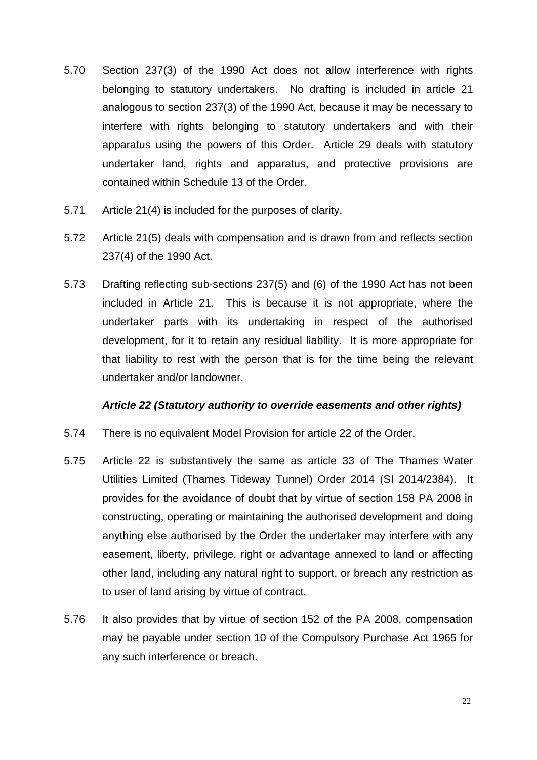- 5.70 Section 237(3) of the 1990 Act does not allow interference with rights belonging to statutory undertakers. No drafting is included in article 21 analogous to section 237(3) of the 1990 Act, because it may be necessary to interfere with rights belonging to statutory undertakers and with their apparatus using the powers of this Order. Article 29 deals with statutory undertaker land, rights and apparatus, and protective provisions are contained within Schedule 13 of the Order.
- 5.71 Article 21(4) is included for the purposes of clarity.
- 5.72 Article 21(5) deals with compensation and is drawn from and reflects section 237(4) of the 1990 Act.
- 5.73 Drafting reflecting sub-sections 237(5) and (6) of the 1990 Act has not been included in Article 21. This is because it is not appropriate, where the undertaker parts with its undertaking in respect of the authorised development, for it to retain any residual liability. It is more appropriate for that liability to rest with the person that is for the time being the relevant undertaker and/or landowner.

#### *Article 22 (Statutory authority to override easements and other rights)*

- 5.74 There is no equivalent Model Provision for article 22 of the Order.
- 5.75 Article 22 is substantively the same as article 33 of The Thames Water Utilities Limited (Thames Tideway Tunnel) Order 2014 (SI 2014/2384). It provides for the avoidance of doubt that by virtue of section 158 PA 2008 in constructing, operating or maintaining the authorised development and doing anything else authorised by the Order the undertaker may interfere with any easement, liberty, privilege, right or advantage annexed to land or affecting other land, including any natural right to support, or breach any restriction as to user of land arising by virtue of contract.
- 5.76 It also provides that by virtue of section 152 of the PA 2008, compensation may be payable under section 10 of the Compulsory Purchase Act 1965 for any such interference or breach.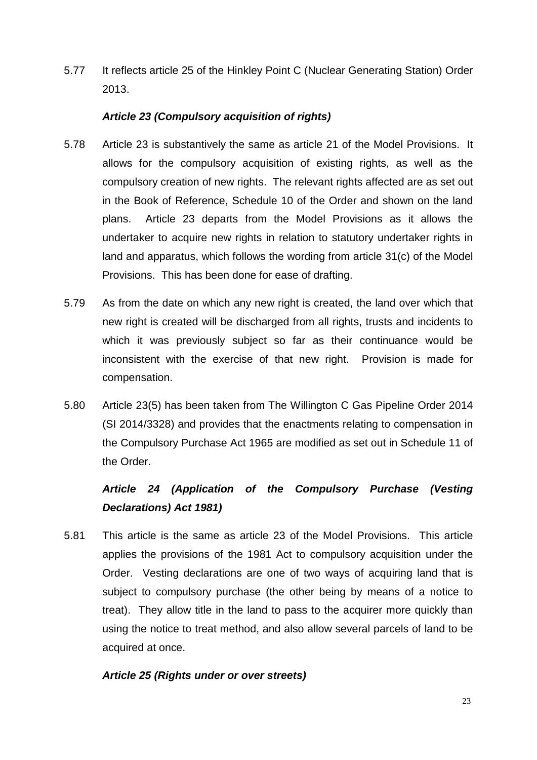5.77 It reflects article 25 of the Hinkley Point C (Nuclear Generating Station) Order 2013.

#### *Article 23 (Compulsory acquisition of rights)*

- 5.78 Article 23 is substantively the same as article 21 of the Model Provisions. It allows for the compulsory acquisition of existing rights, as well as the compulsory creation of new rights. The relevant rights affected are as set out in the Book of Reference, Schedule 10 of the Order and shown on the land plans. Article 23 departs from the Model Provisions as it allows the undertaker to acquire new rights in relation to statutory undertaker rights in land and apparatus, which follows the wording from article 31(c) of the Model Provisions. This has been done for ease of drafting.
- 5.79 As from the date on which any new right is created, the land over which that new right is created will be discharged from all rights, trusts and incidents to which it was previously subject so far as their continuance would be inconsistent with the exercise of that new right. Provision is made for compensation.
- 5.80 Article 23(5) has been taken from The Willington C Gas Pipeline Order 2014 (SI 2014/3328) and provides that the enactments relating to compensation in the Compulsory Purchase Act 1965 are modified as set out in Schedule 11 of the Order.

# *Article 24 (Application of the Compulsory Purchase (Vesting Declarations) Act 1981)*

5.81 This article is the same as article 23 of the Model Provisions. This article applies the provisions of the 1981 Act to compulsory acquisition under the Order. Vesting declarations are one of two ways of acquiring land that is subject to compulsory purchase (the other being by means of a notice to treat). They allow title in the land to pass to the acquirer more quickly than using the notice to treat method, and also allow several parcels of land to be acquired at once.

#### *Article 25 (Rights under or over streets)*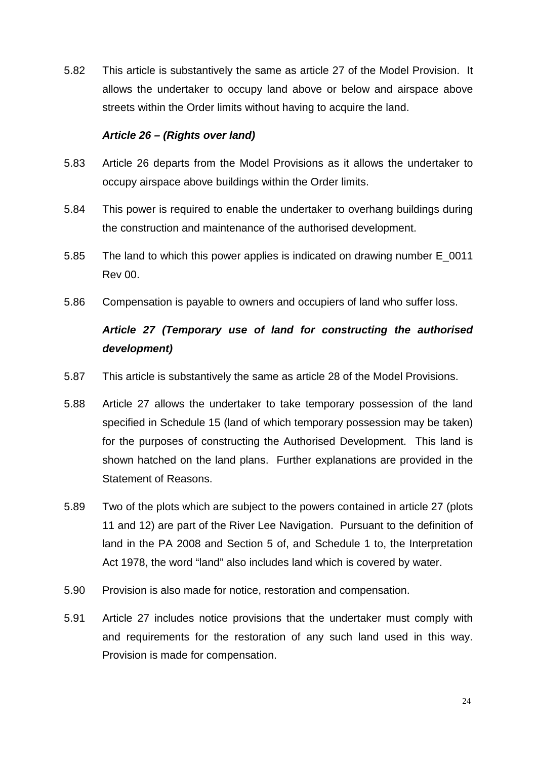5.82 This article is substantively the same as article 27 of the Model Provision. It allows the undertaker to occupy land above or below and airspace above streets within the Order limits without having to acquire the land.

#### *Article 26 – (Rights over land)*

- 5.83 Article 26 departs from the Model Provisions as it allows the undertaker to occupy airspace above buildings within the Order limits.
- 5.84 This power is required to enable the undertaker to overhang buildings during the construction and maintenance of the authorised development.
- 5.85 The land to which this power applies is indicated on drawing number E\_0011 Rev 00.
- 5.86 Compensation is payable to owners and occupiers of land who suffer loss.

# *Article 27 (Temporary use of land for constructing the authorised development)*

- 5.87 This article is substantively the same as article 28 of the Model Provisions.
- 5.88 Article 27 allows the undertaker to take temporary possession of the land specified in Schedule 15 (land of which temporary possession may be taken) for the purposes of constructing the Authorised Development. This land is shown hatched on the land plans. Further explanations are provided in the Statement of Reasons.
- 5.89 Two of the plots which are subject to the powers contained in article 27 (plots 11 and 12) are part of the River Lee Navigation. Pursuant to the definition of land in the PA 2008 and Section 5 of, and Schedule 1 to, the Interpretation Act 1978, the word "land" also includes land which is covered by water.
- 5.90 Provision is also made for notice, restoration and compensation.
- 5.91 Article 27 includes notice provisions that the undertaker must comply with and requirements for the restoration of any such land used in this way. Provision is made for compensation.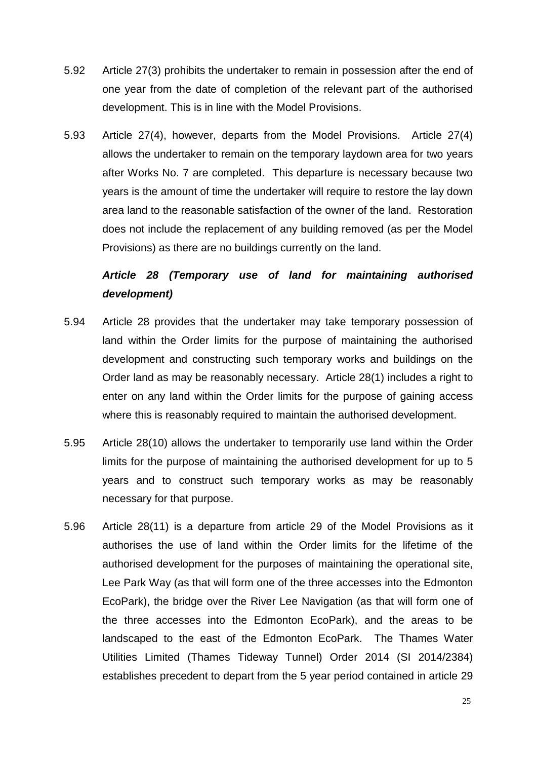- 5.92 Article 27(3) prohibits the undertaker to remain in possession after the end of one year from the date of completion of the relevant part of the authorised development. This is in line with the Model Provisions.
- 5.93 Article 27(4), however, departs from the Model Provisions. Article 27(4) allows the undertaker to remain on the temporary laydown area for two years after Works No. 7 are completed. This departure is necessary because two years is the amount of time the undertaker will require to restore the lay down area land to the reasonable satisfaction of the owner of the land. Restoration does not include the replacement of any building removed (as per the Model Provisions) as there are no buildings currently on the land.

# *Article 28 (Temporary use of land for maintaining authorised development)*

- 5.94 Article 28 provides that the undertaker may take temporary possession of land within the Order limits for the purpose of maintaining the authorised development and constructing such temporary works and buildings on the Order land as may be reasonably necessary. Article 28(1) includes a right to enter on any land within the Order limits for the purpose of gaining access where this is reasonably required to maintain the authorised development.
- 5.95 Article 28(10) allows the undertaker to temporarily use land within the Order limits for the purpose of maintaining the authorised development for up to 5 years and to construct such temporary works as may be reasonably necessary for that purpose.
- 5.96 Article 28(11) is a departure from article 29 of the Model Provisions as it authorises the use of land within the Order limits for the lifetime of the authorised development for the purposes of maintaining the operational site, Lee Park Way (as that will form one of the three accesses into the Edmonton EcoPark), the bridge over the River Lee Navigation (as that will form one of the three accesses into the Edmonton EcoPark), and the areas to be landscaped to the east of the Edmonton EcoPark. The Thames Water Utilities Limited (Thames Tideway Tunnel) Order 2014 (SI 2014/2384) establishes precedent to depart from the 5 year period contained in article 29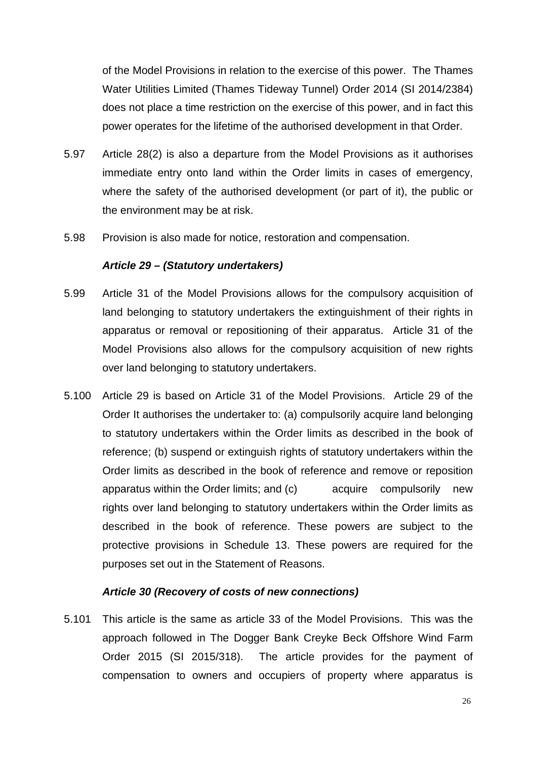of the Model Provisions in relation to the exercise of this power. The Thames Water Utilities Limited (Thames Tideway Tunnel) Order 2014 (SI 2014/2384) does not place a time restriction on the exercise of this power, and in fact this power operates for the lifetime of the authorised development in that Order.

- 5.97 Article 28(2) is also a departure from the Model Provisions as it authorises immediate entry onto land within the Order limits in cases of emergency, where the safety of the authorised development (or part of it), the public or the environment may be at risk.
- 5.98 Provision is also made for notice, restoration and compensation.

#### *Article 29 – (Statutory undertakers)*

- 5.99 Article 31 of the Model Provisions allows for the compulsory acquisition of land belonging to statutory undertakers the extinguishment of their rights in apparatus or removal or repositioning of their apparatus. Article 31 of the Model Provisions also allows for the compulsory acquisition of new rights over land belonging to statutory undertakers.
- 5.100 Article 29 is based on Article 31 of the Model Provisions. Article 29 of the Order It authorises the undertaker to: (a) compulsorily acquire land belonging to statutory undertakers within the Order limits as described in the book of reference; (b) suspend or extinguish rights of statutory undertakers within the Order limits as described in the book of reference and remove or reposition apparatus within the Order limits; and (c) acquire compulsorily new rights over land belonging to statutory undertakers within the Order limits as described in the book of reference. These powers are subject to the protective provisions in Schedule 13. These powers are required for the purposes set out in the Statement of Reasons.

#### *Article 30 (Recovery of costs of new connections)*

5.101 This article is the same as article 33 of the Model Provisions. This was the approach followed in The Dogger Bank Creyke Beck Offshore Wind Farm Order 2015 (SI 2015/318). The article provides for the payment of compensation to owners and occupiers of property where apparatus is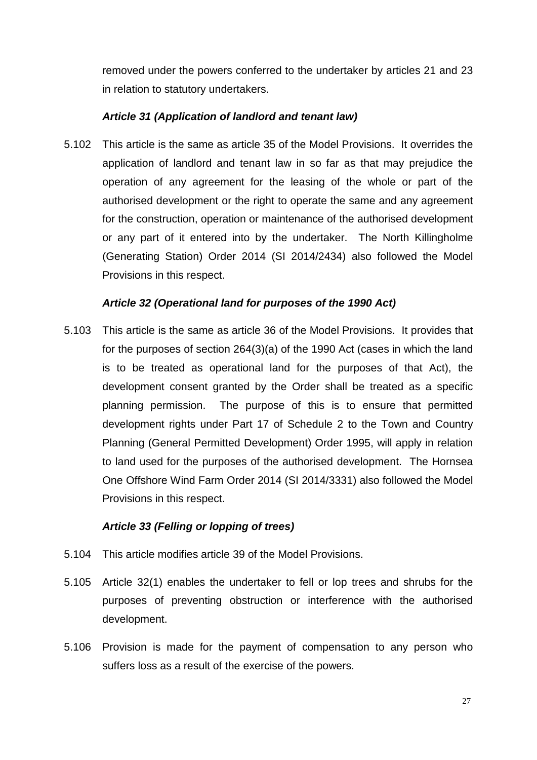removed under the powers conferred to the undertaker by articles 21 and 23 in relation to statutory undertakers.

#### *Article 31 (Application of landlord and tenant law)*

5.102 This article is the same as article 35 of the Model Provisions. It overrides the application of landlord and tenant law in so far as that may prejudice the operation of any agreement for the leasing of the whole or part of the authorised development or the right to operate the same and any agreement for the construction, operation or maintenance of the authorised development or any part of it entered into by the undertaker. The North Killingholme (Generating Station) Order 2014 (SI 2014/2434) also followed the Model Provisions in this respect.

#### *Article 32 (Operational land for purposes of the 1990 Act)*

5.103 This article is the same as article 36 of the Model Provisions. It provides that for the purposes of section 264(3)(a) of the 1990 Act (cases in which the land is to be treated as operational land for the purposes of that Act), the development consent granted by the Order shall be treated as a specific planning permission. The purpose of this is to ensure that permitted development rights under Part 17 of Schedule 2 to the Town and Country Planning (General Permitted Development) Order 1995, will apply in relation to land used for the purposes of the authorised development. The Hornsea One Offshore Wind Farm Order 2014 (SI 2014/3331) also followed the Model Provisions in this respect.

#### *Article 33 (Felling or lopping of trees)*

- 5.104 This article modifies article 39 of the Model Provisions.
- 5.105 Article 32(1) enables the undertaker to fell or lop trees and shrubs for the purposes of preventing obstruction or interference with the authorised development.
- 5.106 Provision is made for the payment of compensation to any person who suffers loss as a result of the exercise of the powers.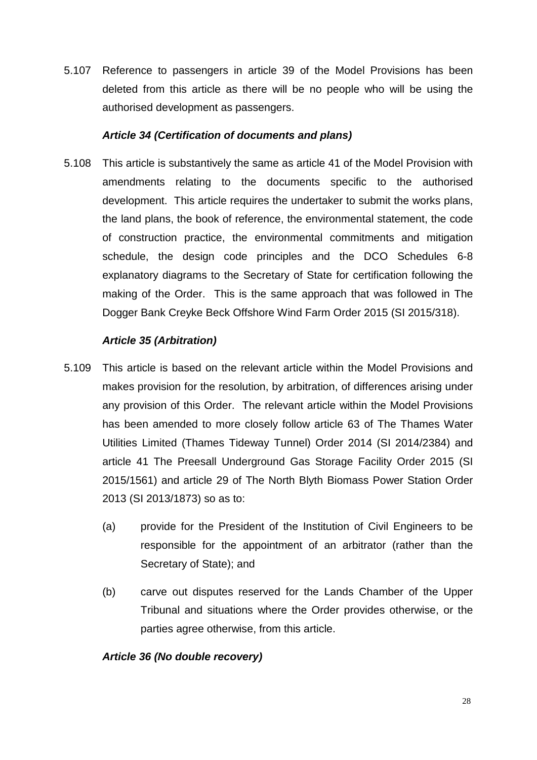5.107 Reference to passengers in article 39 of the Model Provisions has been deleted from this article as there will be no people who will be using the authorised development as passengers.

#### *Article 34 (Certification of documents and plans)*

5.108 This article is substantively the same as article 41 of the Model Provision with amendments relating to the documents specific to the authorised development. This article requires the undertaker to submit the works plans, the land plans, the book of reference, the environmental statement, the code of construction practice, the environmental commitments and mitigation schedule, the design code principles and the DCO Schedules 6-8 explanatory diagrams to the Secretary of State for certification following the making of the Order.This is the same approach that was followed in The Dogger Bank Creyke Beck Offshore Wind Farm Order 2015 (SI 2015/318).

#### *Article 35 (Arbitration)*

- 5.109 This article is based on the relevant article within the Model Provisions and makes provision for the resolution, by arbitration, of differences arising under any provision of this Order. The relevant article within the Model Provisions has been amended to more closely follow article 63 of The Thames Water Utilities Limited (Thames Tideway Tunnel) Order 2014 (SI 2014/2384) and article 41 The Preesall Underground Gas Storage Facility Order 2015 (SI 2015/1561) and article 29 of The North Blyth Biomass Power Station Order 2013 (SI 2013/1873) so as to:
	- (a) provide for the President of the Institution of Civil Engineers to be responsible for the appointment of an arbitrator (rather than the Secretary of State); and
	- (b) carve out disputes reserved for the Lands Chamber of the Upper Tribunal and situations where the Order provides otherwise, or the parties agree otherwise, from this article.

#### *Article 36 (No double recovery)*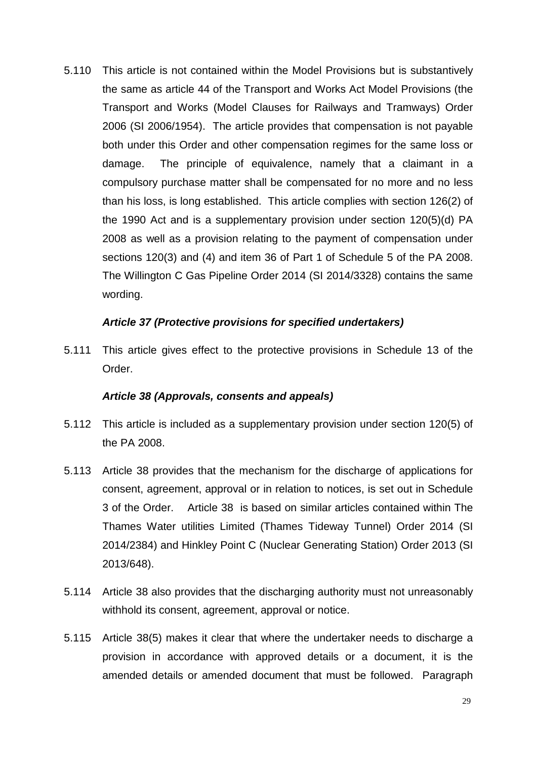5.110 This article is not contained within the Model Provisions but is substantively the same as article 44 of the Transport and Works Act Model Provisions (the Transport and Works (Model Clauses for Railways and Tramways) Order 2006 (SI 2006/1954). The article provides that compensation is not payable both under this Order and other compensation regimes for the same loss or damage. The principle of equivalence, namely that a claimant in a compulsory purchase matter shall be compensated for no more and no less than his loss, is long established. This article complies with section 126(2) of the 1990 Act and is a supplementary provision under section 120(5)(d) PA 2008 as well as a provision relating to the payment of compensation under sections 120(3) and (4) and item 36 of Part 1 of Schedule 5 of the PA 2008. The Willington C Gas Pipeline Order 2014 (SI 2014/3328) contains the same wording.

#### *Article 37 (Protective provisions for specified undertakers)*

5.111 This article gives effect to the protective provisions in Schedule 13 of the Order.

#### *Article 38 (Approvals, consents and appeals)*

- 5.112 This article is included as a supplementary provision under section 120(5) of the PA 2008.
- 5.113 Article 38 provides that the mechanism for the discharge of applications for consent, agreement, approval or in relation to notices, is set out in Schedule 3 of the Order. Article 38 is based on similar articles contained within The Thames Water utilities Limited (Thames Tideway Tunnel) Order 2014 (SI 2014/2384) and Hinkley Point C (Nuclear Generating Station) Order 2013 (SI 2013/648).
- 5.114 Article 38 also provides that the discharging authority must not unreasonably withhold its consent, agreement, approval or notice.
- 5.115 Article 38(5) makes it clear that where the undertaker needs to discharge a provision in accordance with approved details or a document, it is the amended details or amended document that must be followed. Paragraph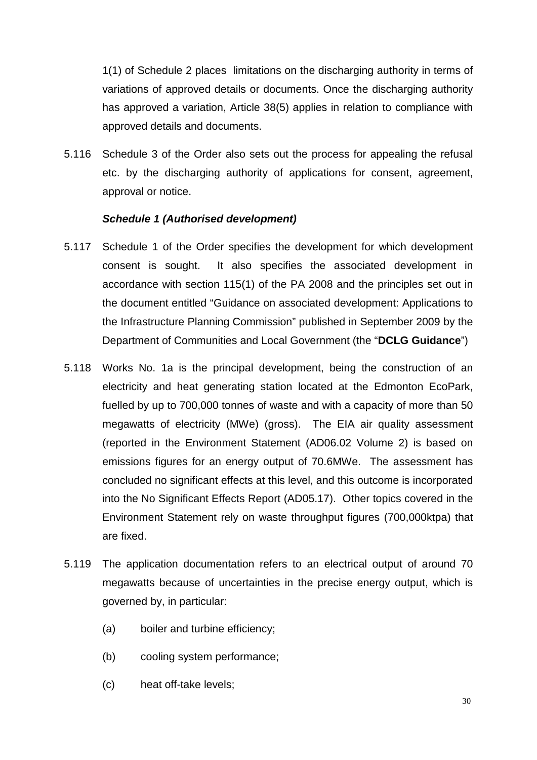1(1) of Schedule 2 places limitations on the discharging authority in terms of variations of approved details or documents. Once the discharging authority has approved a variation, Article 38(5) applies in relation to compliance with approved details and documents.

5.116 Schedule 3 of the Order also sets out the process for appealing the refusal etc. by the discharging authority of applications for consent, agreement, approval or notice.

#### *Schedule 1 (Authorised development)*

- 5.117 Schedule 1 of the Order specifies the development for which development consent is sought. It also specifies the associated development in accordance with section 115(1) of the PA 2008 and the principles set out in the document entitled "Guidance on associated development: Applications to the Infrastructure Planning Commission" published in September 2009 by the Department of Communities and Local Government (the "**DCLG Guidance**")
- 5.118 Works No. 1a is the principal development, being the construction of an electricity and heat generating station located at the Edmonton EcoPark, fuelled by up to 700,000 tonnes of waste and with a capacity of more than 50 megawatts of electricity (MWe) (gross). The EIA air quality assessment (reported in the Environment Statement (AD06.02 Volume 2) is based on emissions figures for an energy output of 70.6MWe. The assessment has concluded no significant effects at this level, and this outcome is incorporated into the No Significant Effects Report (AD05.17). Other topics covered in the Environment Statement rely on waste throughput figures (700,000ktpa) that are fixed.
- 5.119 The application documentation refers to an electrical output of around 70 megawatts because of uncertainties in the precise energy output, which is governed by, in particular:
	- (a) boiler and turbine efficiency;
	- (b) cooling system performance;
	- (c) heat off-take levels;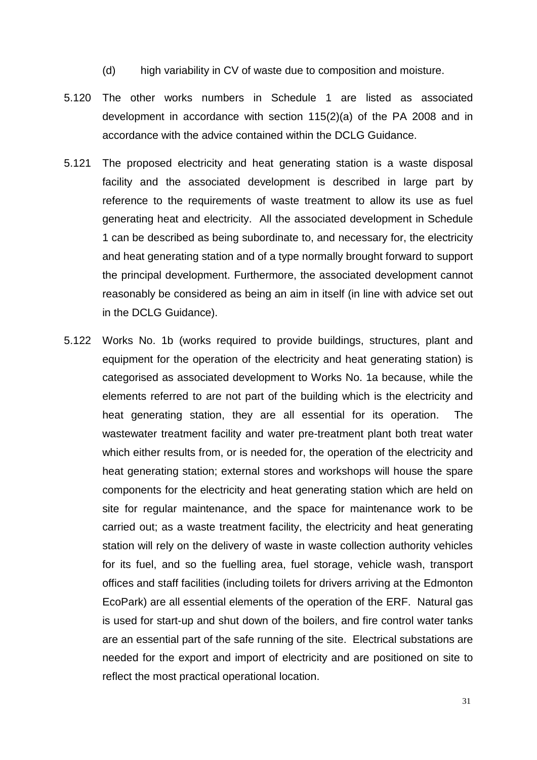- (d) high variability in CV of waste due to composition and moisture.
- 5.120 The other works numbers in Schedule 1 are listed as associated development in accordance with section 115(2)(a) of the PA 2008 and in accordance with the advice contained within the DCLG Guidance.
- 5.121 The proposed electricity and heat generating station is a waste disposal facility and the associated development is described in large part by reference to the requirements of waste treatment to allow its use as fuel generating heat and electricity. All the associated development in Schedule 1 can be described as being subordinate to, and necessary for, the electricity and heat generating station and of a type normally brought forward to support the principal development. Furthermore, the associated development cannot reasonably be considered as being an aim in itself (in line with advice set out in the DCLG Guidance).
- 5.122 Works No. 1b (works required to provide buildings, structures, plant and equipment for the operation of the electricity and heat generating station) is categorised as associated development to Works No. 1a because, while the elements referred to are not part of the building which is the electricity and heat generating station, they are all essential for its operation. The wastewater treatment facility and water pre-treatment plant both treat water which either results from, or is needed for, the operation of the electricity and heat generating station; external stores and workshops will house the spare components for the electricity and heat generating station which are held on site for regular maintenance, and the space for maintenance work to be carried out; as a waste treatment facility, the electricity and heat generating station will rely on the delivery of waste in waste collection authority vehicles for its fuel, and so the fuelling area, fuel storage, vehicle wash, transport offices and staff facilities (including toilets for drivers arriving at the Edmonton EcoPark) are all essential elements of the operation of the ERF. Natural gas is used for start-up and shut down of the boilers, and fire control water tanks are an essential part of the safe running of the site. Electrical substations are needed for the export and import of electricity and are positioned on site to reflect the most practical operational location.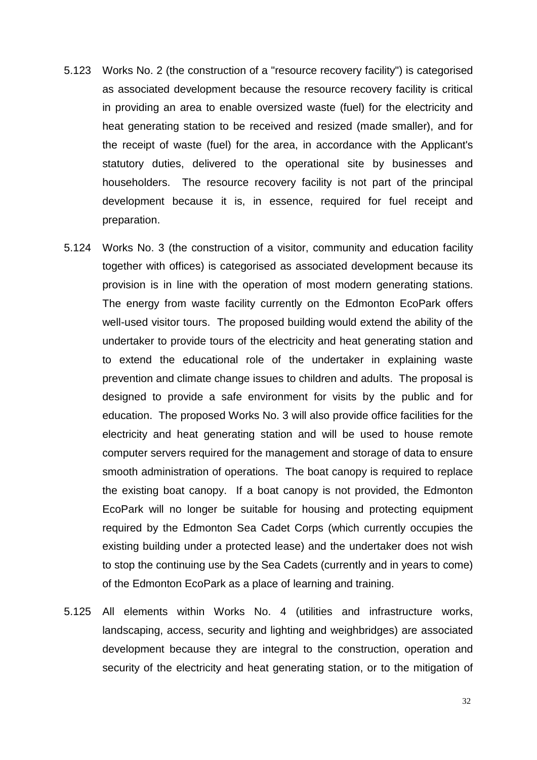- 5.123 Works No. 2 (the construction of a "resource recovery facility") is categorised as associated development because the resource recovery facility is critical in providing an area to enable oversized waste (fuel) for the electricity and heat generating station to be received and resized (made smaller), and for the receipt of waste (fuel) for the area, in accordance with the Applicant's statutory duties, delivered to the operational site by businesses and householders. The resource recovery facility is not part of the principal development because it is, in essence, required for fuel receipt and preparation.
- 5.124 Works No. 3 (the construction of a visitor, community and education facility together with offices) is categorised as associated development because its provision is in line with the operation of most modern generating stations. The energy from waste facility currently on the Edmonton EcoPark offers well-used visitor tours. The proposed building would extend the ability of the undertaker to provide tours of the electricity and heat generating station and to extend the educational role of the undertaker in explaining waste prevention and climate change issues to children and adults. The proposal is designed to provide a safe environment for visits by the public and for education. The proposed Works No. 3 will also provide office facilities for the electricity and heat generating station and will be used to house remote computer servers required for the management and storage of data to ensure smooth administration of operations. The boat canopy is required to replace the existing boat canopy. If a boat canopy is not provided, the Edmonton EcoPark will no longer be suitable for housing and protecting equipment required by the Edmonton Sea Cadet Corps (which currently occupies the existing building under a protected lease) and the undertaker does not wish to stop the continuing use by the Sea Cadets (currently and in years to come) of the Edmonton EcoPark as a place of learning and training.
- 5.125 All elements within Works No. 4 (utilities and infrastructure works, landscaping, access, security and lighting and weighbridges) are associated development because they are integral to the construction, operation and security of the electricity and heat generating station, or to the mitigation of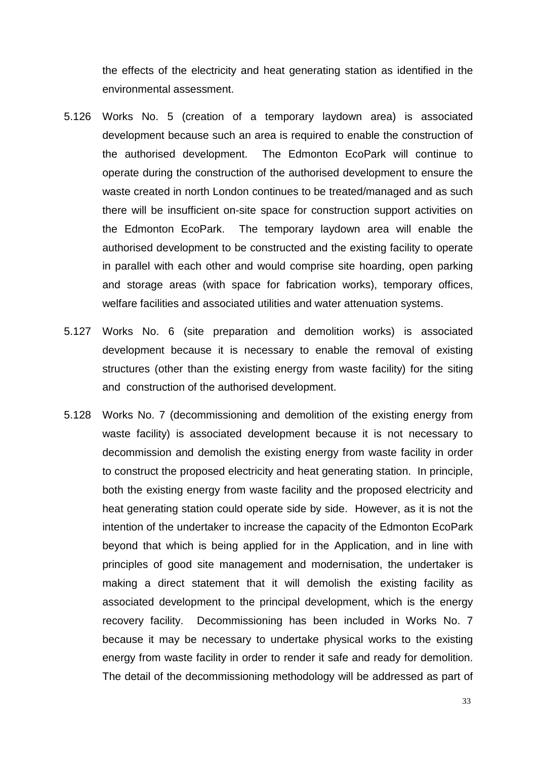the effects of the electricity and heat generating station as identified in the environmental assessment.

- 5.126 Works No. 5 (creation of a temporary laydown area) is associated development because such an area is required to enable the construction of the authorised development. The Edmonton EcoPark will continue to operate during the construction of the authorised development to ensure the waste created in north London continues to be treated/managed and as such there will be insufficient on-site space for construction support activities on the Edmonton EcoPark. The temporary laydown area will enable the authorised development to be constructed and the existing facility to operate in parallel with each other and would comprise site hoarding, open parking and storage areas (with space for fabrication works), temporary offices, welfare facilities and associated utilities and water attenuation systems.
- 5.127 Works No. 6 (site preparation and demolition works) is associated development because it is necessary to enable the removal of existing structures (other than the existing energy from waste facility) for the siting and construction of the authorised development.
- 5.128 Works No. 7 (decommissioning and demolition of the existing energy from waste facility) is associated development because it is not necessary to decommission and demolish the existing energy from waste facility in order to construct the proposed electricity and heat generating station. In principle, both the existing energy from waste facility and the proposed electricity and heat generating station could operate side by side. However, as it is not the intention of the undertaker to increase the capacity of the Edmonton EcoPark beyond that which is being applied for in the Application, and in line with principles of good site management and modernisation, the undertaker is making a direct statement that it will demolish the existing facility as associated development to the principal development, which is the energy recovery facility. Decommissioning has been included in Works No. 7 because it may be necessary to undertake physical works to the existing energy from waste facility in order to render it safe and ready for demolition. The detail of the decommissioning methodology will be addressed as part of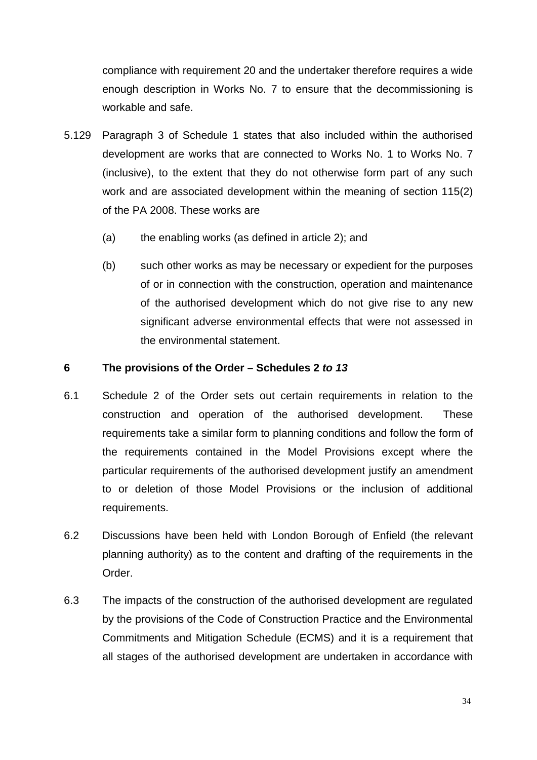compliance with requirement 20 and the undertaker therefore requires a wide enough description in Works No. 7 to ensure that the decommissioning is workable and safe.

- 5.129 Paragraph 3 of Schedule 1 states that also included within the authorised development are works that are connected to Works No. 1 to Works No. 7 (inclusive), to the extent that they do not otherwise form part of any such work and are associated development within the meaning of section 115(2) of the PA 2008. These works are
	- (a) the enabling works (as defined in article 2); and
	- (b) such other works as may be necessary or expedient for the purposes of or in connection with the construction, operation and maintenance of the authorised development which do not give rise to any new significant adverse environmental effects that were not assessed in the environmental statement.

#### <span id="page-34-0"></span>**6 The provisions of the Order – Schedules 2** *to 13*

- 6.1 Schedule 2 of the Order sets out certain requirements in relation to the construction and operation of the authorised development. These requirements take a similar form to planning conditions and follow the form of the requirements contained in the Model Provisions except where the particular requirements of the authorised development justify an amendment to or deletion of those Model Provisions or the inclusion of additional requirements.
- 6.2 Discussions have been held with London Borough of Enfield (the relevant planning authority) as to the content and drafting of the requirements in the Order.
- 6.3 The impacts of the construction of the authorised development are regulated by the provisions of the Code of Construction Practice and the Environmental Commitments and Mitigation Schedule (ECMS) and it is a requirement that all stages of the authorised development are undertaken in accordance with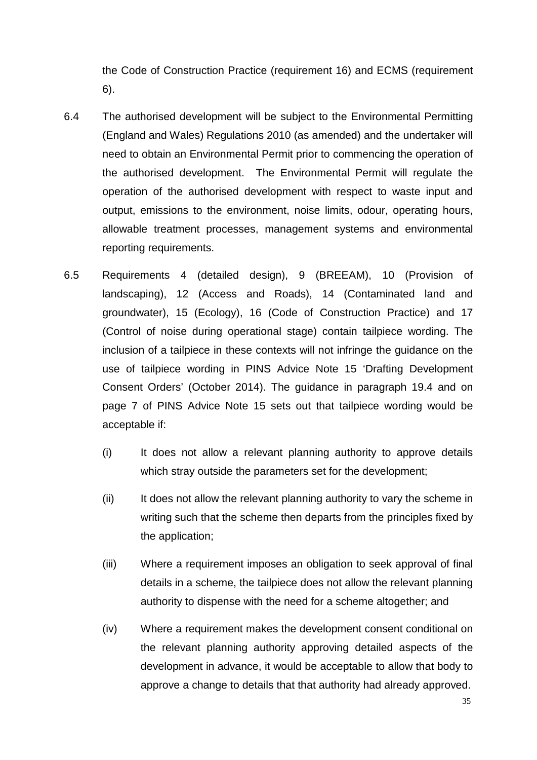the Code of Construction Practice (requirement 16) and ECMS (requirement 6).

- 6.4 The authorised development will be subject to the Environmental Permitting (England and Wales) Regulations 2010 (as amended) and the undertaker will need to obtain an Environmental Permit prior to commencing the operation of the authorised development. The Environmental Permit will regulate the operation of the authorised development with respect to waste input and output, emissions to the environment, noise limits, odour, operating hours, allowable treatment processes, management systems and environmental reporting requirements.
- 6.5 Requirements 4 (detailed design), 9 (BREEAM), 10 (Provision of landscaping), 12 (Access and Roads), 14 (Contaminated land and groundwater), 15 (Ecology), 16 (Code of Construction Practice) and 17 (Control of noise during operational stage) contain tailpiece wording. The inclusion of a tailpiece in these contexts will not infringe the guidance on the use of tailpiece wording in PINS Advice Note 15 'Drafting Development Consent Orders' (October 2014). The guidance in paragraph 19.4 and on page 7 of PINS Advice Note 15 sets out that tailpiece wording would be acceptable if:
	- (i) It does not allow a relevant planning authority to approve details which stray outside the parameters set for the development;
	- (ii) It does not allow the relevant planning authority to vary the scheme in writing such that the scheme then departs from the principles fixed by the application;
	- (iii) Where a requirement imposes an obligation to seek approval of final details in a scheme, the tailpiece does not allow the relevant planning authority to dispense with the need for a scheme altogether; and
	- (iv) Where a requirement makes the development consent conditional on the relevant planning authority approving detailed aspects of the development in advance, it would be acceptable to allow that body to approve a change to details that that authority had already approved.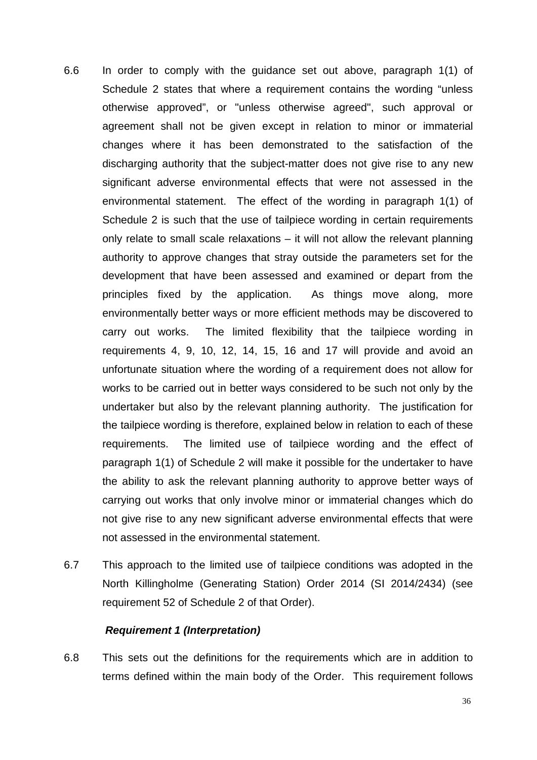- 6.6 In order to comply with the guidance set out above, paragraph 1(1) of Schedule 2 states that where a requirement contains the wording "unless otherwise approved", or "unless otherwise agreed", such approval or agreement shall not be given except in relation to minor or immaterial changes where it has been demonstrated to the satisfaction of the discharging authority that the subject-matter does not give rise to any new significant adverse environmental effects that were not assessed in the environmental statement. The effect of the wording in paragraph 1(1) of Schedule 2 is such that the use of tailpiece wording in certain requirements only relate to small scale relaxations – it will not allow the relevant planning authority to approve changes that stray outside the parameters set for the development that have been assessed and examined or depart from the principles fixed by the application. As things move along, more environmentally better ways or more efficient methods may be discovered to carry out works. The limited flexibility that the tailpiece wording in requirements 4, 9, 10, 12, 14, 15, 16 and 17 will provide and avoid an unfortunate situation where the wording of a requirement does not allow for works to be carried out in better ways considered to be such not only by the undertaker but also by the relevant planning authority. The justification for the tailpiece wording is therefore, explained below in relation to each of these requirements. The limited use of tailpiece wording and the effect of paragraph 1(1) of Schedule 2 will make it possible for the undertaker to have the ability to ask the relevant planning authority to approve better ways of carrying out works that only involve minor or immaterial changes which do not give rise to any new significant adverse environmental effects that were not assessed in the environmental statement.
- 6.7 This approach to the limited use of tailpiece conditions was adopted in the North Killingholme (Generating Station) Order 2014 (SI 2014/2434) (see requirement 52 of Schedule 2 of that Order).

#### *Requirement 1 (Interpretation)*

6.8 This sets out the definitions for the requirements which are in addition to terms defined within the main body of the Order. This requirement follows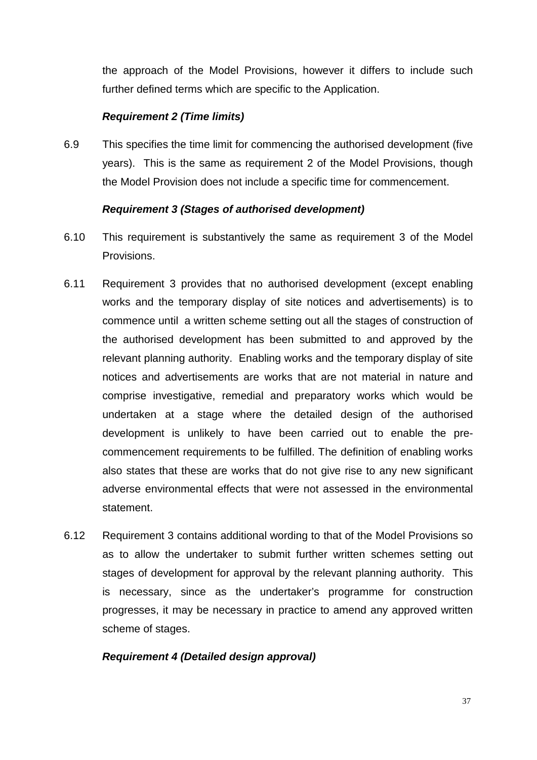the approach of the Model Provisions, however it differs to include such further defined terms which are specific to the Application.

#### *Requirement 2 (Time limits)*

6.9 This specifies the time limit for commencing the authorised development (five years). This is the same as requirement 2 of the Model Provisions, though the Model Provision does not include a specific time for commencement.

#### *Requirement 3 (Stages of authorised development)*

- 6.10 This requirement is substantively the same as requirement 3 of the Model Provisions.
- 6.11 Requirement 3 provides that no authorised development (except enabling works and the temporary display of site notices and advertisements) is to commence until a written scheme setting out all the stages of construction of the authorised development has been submitted to and approved by the relevant planning authority. Enabling works and the temporary display of site notices and advertisements are works that are not material in nature and comprise investigative, remedial and preparatory works which would be undertaken at a stage where the detailed design of the authorised development is unlikely to have been carried out to enable the precommencement requirements to be fulfilled. The definition of enabling works also states that these are works that do not give rise to any new significant adverse environmental effects that were not assessed in the environmental statement.
- 6.12 Requirement 3 contains additional wording to that of the Model Provisions so as to allow the undertaker to submit further written schemes setting out stages of development for approval by the relevant planning authority. This is necessary, since as the undertaker's programme for construction progresses, it may be necessary in practice to amend any approved written scheme of stages.

#### *Requirement 4 (Detailed design approval)*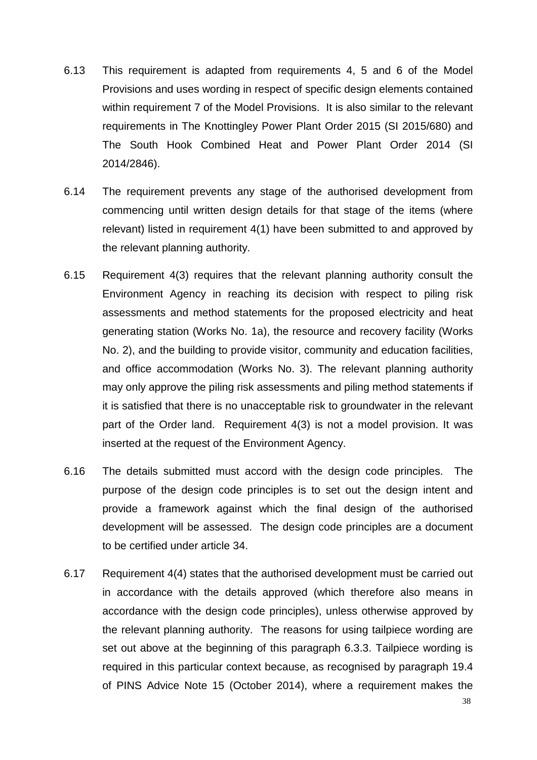- 6.13 This requirement is adapted from requirements 4, 5 and 6 of the Model Provisions and uses wording in respect of specific design elements contained within requirement 7 of the Model Provisions. It is also similar to the relevant requirements in The Knottingley Power Plant Order 2015 (SI 2015/680) and The South Hook Combined Heat and Power Plant Order 2014 (SI 2014/2846).
- 6.14 The requirement prevents any stage of the authorised development from commencing until written design details for that stage of the items (where relevant) listed in requirement 4(1) have been submitted to and approved by the relevant planning authority.
- 6.15 Requirement 4(3) requires that the relevant planning authority consult the Environment Agency in reaching its decision with respect to piling risk assessments and method statements for the proposed electricity and heat generating station (Works No. 1a), the resource and recovery facility (Works No. 2), and the building to provide visitor, community and education facilities, and office accommodation (Works No. 3). The relevant planning authority may only approve the piling risk assessments and piling method statements if it is satisfied that there is no unacceptable risk to groundwater in the relevant part of the Order land. Requirement 4(3) is not a model provision. It was inserted at the request of the Environment Agency.
- 6.16 The details submitted must accord with the design code principles. The purpose of the design code principles is to set out the design intent and provide a framework against which the final design of the authorised development will be assessed. The design code principles are a document to be certified under article 34.
- 6.17 Requirement 4(4) states that the authorised development must be carried out in accordance with the details approved (which therefore also means in accordance with the design code principles), unless otherwise approved by the relevant planning authority. The reasons for using tailpiece wording are set out above at the beginning of this paragraph 6.3.3. Tailpiece wording is required in this particular context because, as recognised by paragraph 19.4 of PINS Advice Note 15 (October 2014), where a requirement makes the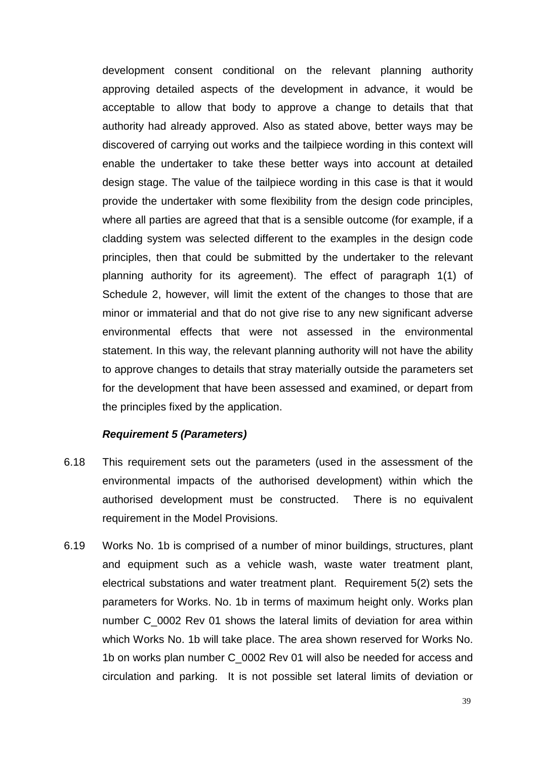development consent conditional on the relevant planning authority approving detailed aspects of the development in advance, it would be acceptable to allow that body to approve a change to details that that authority had already approved. Also as stated above, better ways may be discovered of carrying out works and the tailpiece wording in this context will enable the undertaker to take these better ways into account at detailed design stage. The value of the tailpiece wording in this case is that it would provide the undertaker with some flexibility from the design code principles, where all parties are agreed that that is a sensible outcome (for example, if a cladding system was selected different to the examples in the design code principles, then that could be submitted by the undertaker to the relevant planning authority for its agreement). The effect of paragraph 1(1) of Schedule 2, however, will limit the extent of the changes to those that are minor or immaterial and that do not give rise to any new significant adverse environmental effects that were not assessed in the environmental statement. In this way, the relevant planning authority will not have the ability to approve changes to details that stray materially outside the parameters set for the development that have been assessed and examined, or depart from the principles fixed by the application.

#### *Requirement 5 (Parameters)*

- 6.18 This requirement sets out the parameters (used in the assessment of the environmental impacts of the authorised development) within which the authorised development must be constructed. There is no equivalent requirement in the Model Provisions.
- 6.19 Works No. 1b is comprised of a number of minor buildings, structures, plant and equipment such as a vehicle wash, waste water treatment plant, electrical substations and water treatment plant. Requirement 5(2) sets the parameters for Works. No. 1b in terms of maximum height only. Works plan number C\_0002 Rev 01 shows the lateral limits of deviation for area within which Works No. 1b will take place. The area shown reserved for Works No. 1b on works plan number C\_0002 Rev 01 will also be needed for access and circulation and parking. It is not possible set lateral limits of deviation or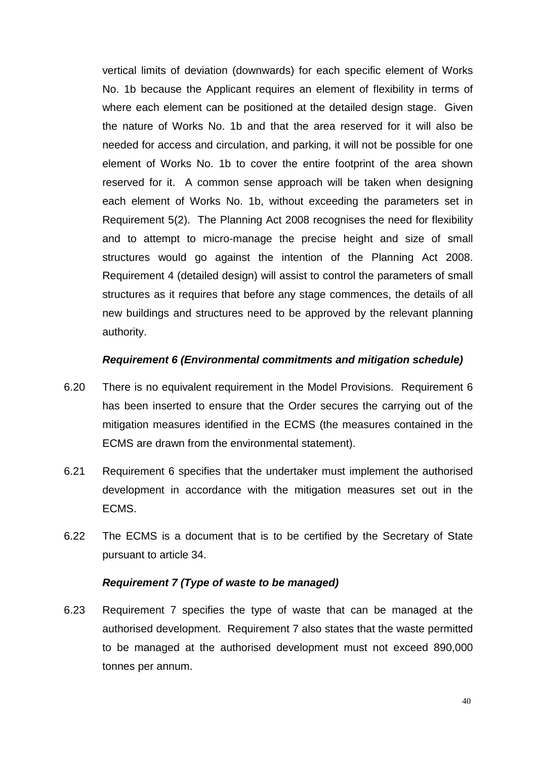vertical limits of deviation (downwards) for each specific element of Works No. 1b because the Applicant requires an element of flexibility in terms of where each element can be positioned at the detailed design stage. Given the nature of Works No. 1b and that the area reserved for it will also be needed for access and circulation, and parking, it will not be possible for one element of Works No. 1b to cover the entire footprint of the area shown reserved for it. A common sense approach will be taken when designing each element of Works No. 1b, without exceeding the parameters set in Requirement 5(2). The Planning Act 2008 recognises the need for flexibility and to attempt to micro-manage the precise height and size of small structures would go against the intention of the Planning Act 2008. Requirement 4 (detailed design) will assist to control the parameters of small structures as it requires that before any stage commences, the details of all new buildings and structures need to be approved by the relevant planning authority.

#### *Requirement 6 (Environmental commitments and mitigation schedule)*

- 6.20 There is no equivalent requirement in the Model Provisions. Requirement 6 has been inserted to ensure that the Order secures the carrying out of the mitigation measures identified in the ECMS (the measures contained in the ECMS are drawn from the environmental statement).
- 6.21 Requirement 6 specifies that the undertaker must implement the authorised development in accordance with the mitigation measures set out in the ECMS.
- 6.22 The ECMS is a document that is to be certified by the Secretary of State pursuant to article 34.

#### *Requirement 7 (Type of waste to be managed)*

6.23 Requirement 7 specifies the type of waste that can be managed at the authorised development. Requirement 7 also states that the waste permitted to be managed at the authorised development must not exceed 890,000 tonnes per annum.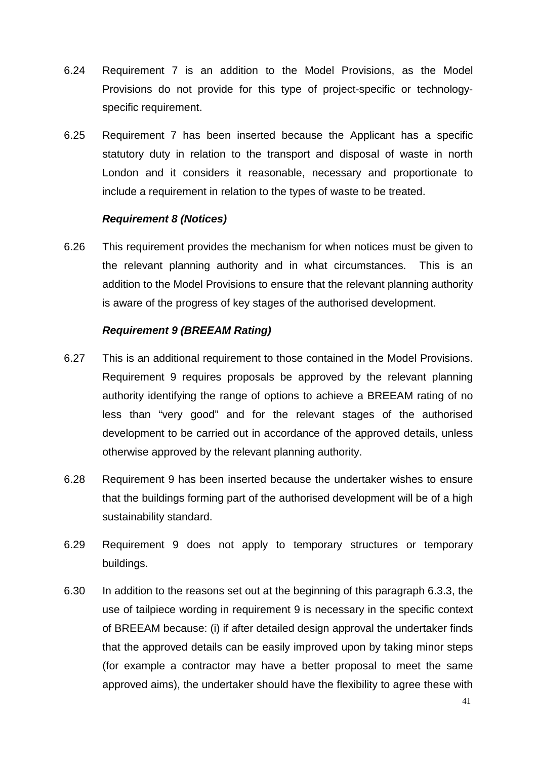- 6.24 Requirement 7 is an addition to the Model Provisions, as the Model Provisions do not provide for this type of project-specific or technologyspecific requirement.
- 6.25 Requirement 7 has been inserted because the Applicant has a specific statutory duty in relation to the transport and disposal of waste in north London and it considers it reasonable, necessary and proportionate to include a requirement in relation to the types of waste to be treated.

#### *Requirement 8 (Notices)*

6.26 This requirement provides the mechanism for when notices must be given to the relevant planning authority and in what circumstances. This is an addition to the Model Provisions to ensure that the relevant planning authority is aware of the progress of key stages of the authorised development.

#### *Requirement 9 (BREEAM Rating)*

- 6.27 This is an additional requirement to those contained in the Model Provisions. Requirement 9 requires proposals be approved by the relevant planning authority identifying the range of options to achieve a BREEAM rating of no less than "very good" and for the relevant stages of the authorised development to be carried out in accordance of the approved details, unless otherwise approved by the relevant planning authority.
- 6.28 Requirement 9 has been inserted because the undertaker wishes to ensure that the buildings forming part of the authorised development will be of a high sustainability standard.
- 6.29 Requirement 9 does not apply to temporary structures or temporary buildings.
- 6.30 In addition to the reasons set out at the beginning of this paragraph 6.3.3, the use of tailpiece wording in requirement 9 is necessary in the specific context of BREEAM because: (i) if after detailed design approval the undertaker finds that the approved details can be easily improved upon by taking minor steps (for example a contractor may have a better proposal to meet the same approved aims), the undertaker should have the flexibility to agree these with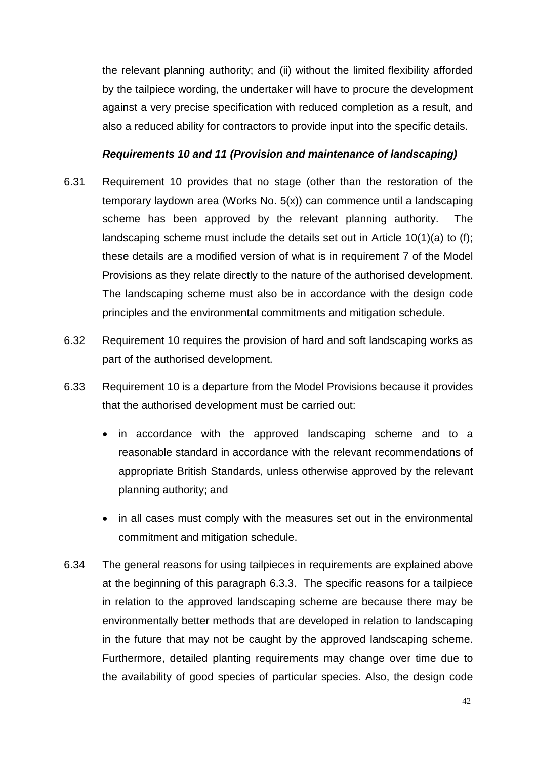the relevant planning authority; and (ii) without the limited flexibility afforded by the tailpiece wording, the undertaker will have to procure the development against a very precise specification with reduced completion as a result, and also a reduced ability for contractors to provide input into the specific details.

#### *Requirements 10 and 11 (Provision and maintenance of landscaping)*

- 6.31 Requirement 10 provides that no stage (other than the restoration of the temporary laydown area (Works No. 5(x)) can commence until a landscaping scheme has been approved by the relevant planning authority. The landscaping scheme must include the details set out in Article 10(1)(a) to (f); these details are a modified version of what is in requirement 7 of the Model Provisions as they relate directly to the nature of the authorised development. The landscaping scheme must also be in accordance with the design code principles and the environmental commitments and mitigation schedule.
- 6.32 Requirement 10 requires the provision of hard and soft landscaping works as part of the authorised development.
- 6.33 Requirement 10 is a departure from the Model Provisions because it provides that the authorised development must be carried out:
	- in accordance with the approved landscaping scheme and to a reasonable standard in accordance with the relevant recommendations of appropriate British Standards, unless otherwise approved by the relevant planning authority; and
	- in all cases must comply with the measures set out in the environmental commitment and mitigation schedule.
- 6.34 The general reasons for using tailpieces in requirements are explained above at the beginning of this paragraph 6.3.3. The specific reasons for a tailpiece in relation to the approved landscaping scheme are because there may be environmentally better methods that are developed in relation to landscaping in the future that may not be caught by the approved landscaping scheme. Furthermore, detailed planting requirements may change over time due to the availability of good species of particular species. Also, the design code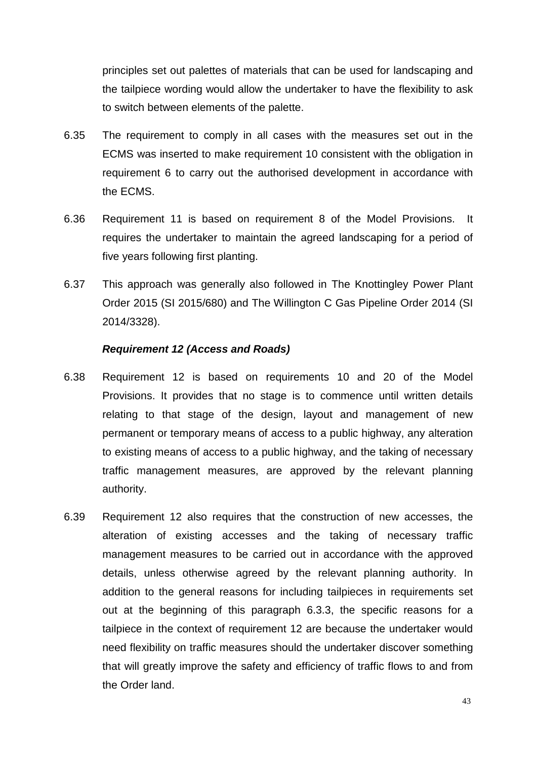principles set out palettes of materials that can be used for landscaping and the tailpiece wording would allow the undertaker to have the flexibility to ask to switch between elements of the palette.

- 6.35 The requirement to comply in all cases with the measures set out in the ECMS was inserted to make requirement 10 consistent with the obligation in requirement 6 to carry out the authorised development in accordance with the ECMS.
- 6.36 Requirement 11 is based on requirement 8 of the Model Provisions. It requires the undertaker to maintain the agreed landscaping for a period of five years following first planting.
- 6.37 This approach was generally also followed in The Knottingley Power Plant Order 2015 (SI 2015/680) and The Willington C Gas Pipeline Order 2014 (SI 2014/3328).

#### *Requirement 12 (Access and Roads)*

- 6.38 Requirement 12 is based on requirements 10 and 20 of the Model Provisions. It provides that no stage is to commence until written details relating to that stage of the design, layout and management of new permanent or temporary means of access to a public highway, any alteration to existing means of access to a public highway, and the taking of necessary traffic management measures, are approved by the relevant planning authority.
- 6.39 Requirement 12 also requires that the construction of new accesses, the alteration of existing accesses and the taking of necessary traffic management measures to be carried out in accordance with the approved details, unless otherwise agreed by the relevant planning authority. In addition to the general reasons for including tailpieces in requirements set out at the beginning of this paragraph 6.3.3, the specific reasons for a tailpiece in the context of requirement 12 are because the undertaker would need flexibility on traffic measures should the undertaker discover something that will greatly improve the safety and efficiency of traffic flows to and from the Order land.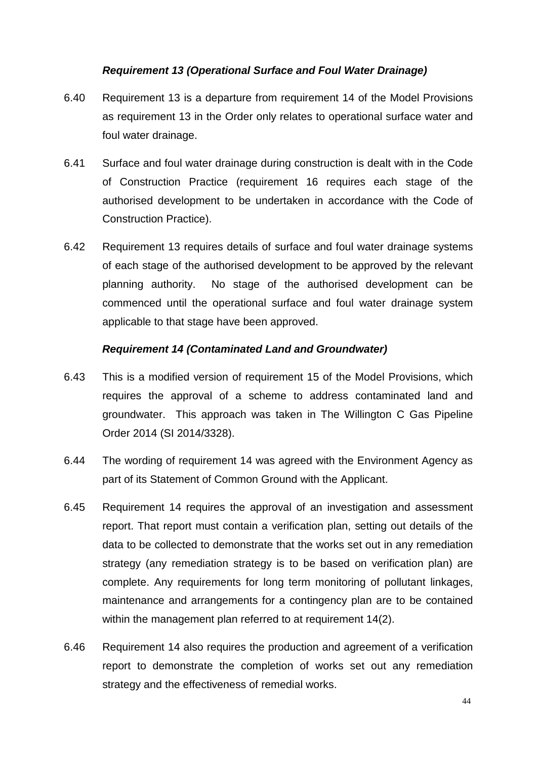#### *Requirement 13 (Operational Surface and Foul Water Drainage)*

- 6.40 Requirement 13 is a departure from requirement 14 of the Model Provisions as requirement 13 in the Order only relates to operational surface water and foul water drainage.
- 6.41 Surface and foul water drainage during construction is dealt with in the Code of Construction Practice (requirement 16 requires each stage of the authorised development to be undertaken in accordance with the Code of Construction Practice).
- 6.42 Requirement 13 requires details of surface and foul water drainage systems of each stage of the authorised development to be approved by the relevant planning authority. No stage of the authorised development can be commenced until the operational surface and foul water drainage system applicable to that stage have been approved.

#### *Requirement 14 (Contaminated Land and Groundwater)*

- 6.43 This is a modified version of requirement 15 of the Model Provisions, which requires the approval of a scheme to address contaminated land and groundwater. This approach was taken in The Willington C Gas Pipeline Order 2014 (SI 2014/3328).
- 6.44 The wording of requirement 14 was agreed with the Environment Agency as part of its Statement of Common Ground with the Applicant.
- 6.45 Requirement 14 requires the approval of an investigation and assessment report. That report must contain a verification plan, setting out details of the data to be collected to demonstrate that the works set out in any remediation strategy (any remediation strategy is to be based on verification plan) are complete. Any requirements for long term monitoring of pollutant linkages, maintenance and arrangements for a contingency plan are to be contained within the management plan referred to at requirement 14(2).
- 6.46 Requirement 14 also requires the production and agreement of a verification report to demonstrate the completion of works set out any remediation strategy and the effectiveness of remedial works.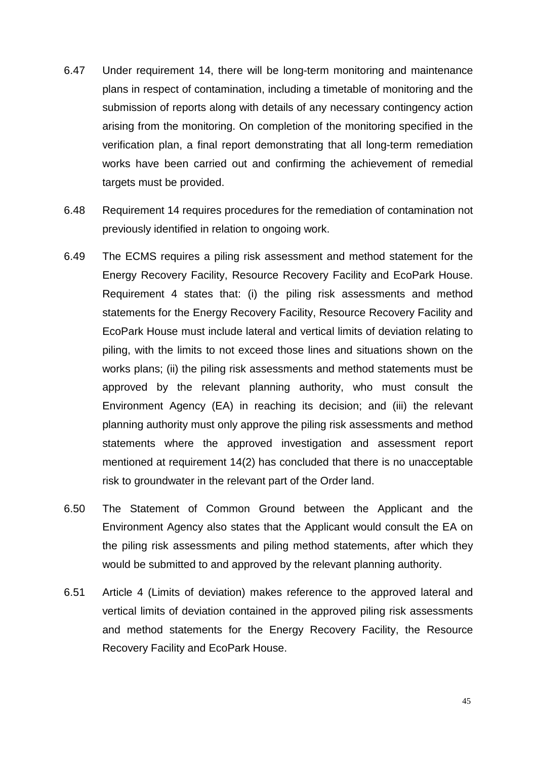- 6.47 Under requirement 14, there will be long-term monitoring and maintenance plans in respect of contamination, including a timetable of monitoring and the submission of reports along with details of any necessary contingency action arising from the monitoring. On completion of the monitoring specified in the verification plan, a final report demonstrating that all long-term remediation works have been carried out and confirming the achievement of remedial targets must be provided.
- 6.48 Requirement 14 requires procedures for the remediation of contamination not previously identified in relation to ongoing work.
- 6.49 The ECMS requires a piling risk assessment and method statement for the Energy Recovery Facility, Resource Recovery Facility and EcoPark House. Requirement 4 states that: (i) the piling risk assessments and method statements for the Energy Recovery Facility, Resource Recovery Facility and EcoPark House must include lateral and vertical limits of deviation relating to piling, with the limits to not exceed those lines and situations shown on the works plans; (ii) the piling risk assessments and method statements must be approved by the relevant planning authority, who must consult the Environment Agency (EA) in reaching its decision; and (iii) the relevant planning authority must only approve the piling risk assessments and method statements where the approved investigation and assessment report mentioned at requirement 14(2) has concluded that there is no unacceptable risk to groundwater in the relevant part of the Order land.
- 6.50 The Statement of Common Ground between the Applicant and the Environment Agency also states that the Applicant would consult the EA on the piling risk assessments and piling method statements, after which they would be submitted to and approved by the relevant planning authority.
- 6.51 Article 4 (Limits of deviation) makes reference to the approved lateral and vertical limits of deviation contained in the approved piling risk assessments and method statements for the Energy Recovery Facility, the Resource Recovery Facility and EcoPark House.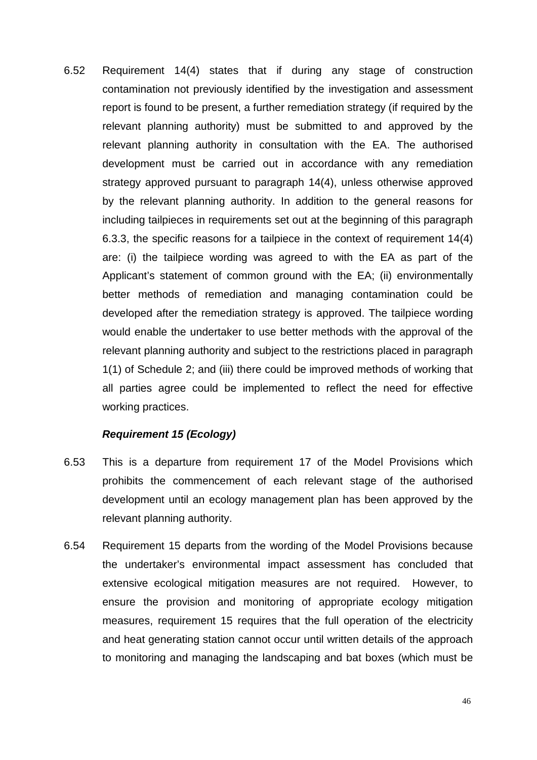6.52 Requirement 14(4) states that if during any stage of construction contamination not previously identified by the investigation and assessment report is found to be present, a further remediation strategy (if required by the relevant planning authority) must be submitted to and approved by the relevant planning authority in consultation with the EA. The authorised development must be carried out in accordance with any remediation strategy approved pursuant to paragraph 14(4), unless otherwise approved by the relevant planning authority. In addition to the general reasons for including tailpieces in requirements set out at the beginning of this paragraph 6.3.3, the specific reasons for a tailpiece in the context of requirement 14(4) are: (i) the tailpiece wording was agreed to with the EA as part of the Applicant's statement of common ground with the EA; (ii) environmentally better methods of remediation and managing contamination could be developed after the remediation strategy is approved. The tailpiece wording would enable the undertaker to use better methods with the approval of the relevant planning authority and subject to the restrictions placed in paragraph 1(1) of Schedule 2; and (iii) there could be improved methods of working that all parties agree could be implemented to reflect the need for effective working practices.

#### *Requirement 15 (Ecology)*

- 6.53 This is a departure from requirement 17 of the Model Provisions which prohibits the commencement of each relevant stage of the authorised development until an ecology management plan has been approved by the relevant planning authority.
- 6.54 Requirement 15 departs from the wording of the Model Provisions because the undertaker's environmental impact assessment has concluded that extensive ecological mitigation measures are not required. However, to ensure the provision and monitoring of appropriate ecology mitigation measures, requirement 15 requires that the full operation of the electricity and heat generating station cannot occur until written details of the approach to monitoring and managing the landscaping and bat boxes (which must be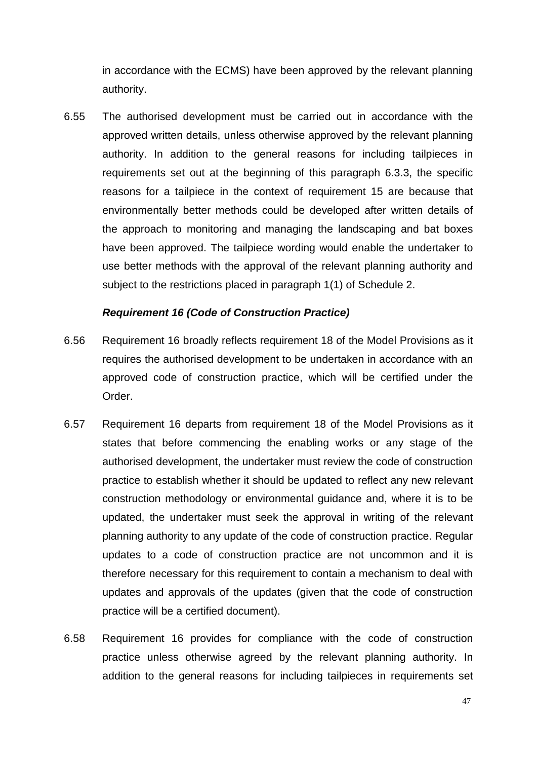in accordance with the ECMS) have been approved by the relevant planning authority.

6.55 The authorised development must be carried out in accordance with the approved written details, unless otherwise approved by the relevant planning authority. In addition to the general reasons for including tailpieces in requirements set out at the beginning of this paragraph 6.3.3, the specific reasons for a tailpiece in the context of requirement 15 are because that environmentally better methods could be developed after written details of the approach to monitoring and managing the landscaping and bat boxes have been approved. The tailpiece wording would enable the undertaker to use better methods with the approval of the relevant planning authority and subject to the restrictions placed in paragraph 1(1) of Schedule 2.

#### *Requirement 16 (Code of Construction Practice)*

- 6.56 Requirement 16 broadly reflects requirement 18 of the Model Provisions as it requires the authorised development to be undertaken in accordance with an approved code of construction practice, which will be certified under the Order.
- 6.57 Requirement 16 departs from requirement 18 of the Model Provisions as it states that before commencing the enabling works or any stage of the authorised development, the undertaker must review the code of construction practice to establish whether it should be updated to reflect any new relevant construction methodology or environmental guidance and, where it is to be updated, the undertaker must seek the approval in writing of the relevant planning authority to any update of the code of construction practice. Regular updates to a code of construction practice are not uncommon and it is therefore necessary for this requirement to contain a mechanism to deal with updates and approvals of the updates (given that the code of construction practice will be a certified document).
- 6.58 Requirement 16 provides for compliance with the code of construction practice unless otherwise agreed by the relevant planning authority. In addition to the general reasons for including tailpieces in requirements set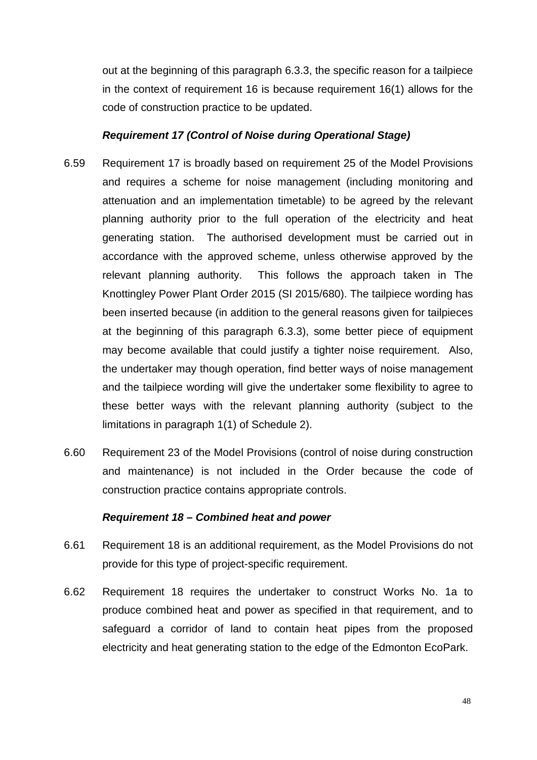out at the beginning of this paragraph 6.3.3, the specific reason for a tailpiece in the context of requirement 16 is because requirement 16(1) allows for the code of construction practice to be updated.

#### *Requirement 17 (Control of Noise during Operational Stage)*

- 6.59 Requirement 17 is broadly based on requirement 25 of the Model Provisions and requires a scheme for noise management (including monitoring and attenuation and an implementation timetable) to be agreed by the relevant planning authority prior to the full operation of the electricity and heat generating station. The authorised development must be carried out in accordance with the approved scheme, unless otherwise approved by the relevant planning authority. This follows the approach taken in The Knottingley Power Plant Order 2015 (SI 2015/680). The tailpiece wording has been inserted because (in addition to the general reasons given for tailpieces at the beginning of this paragraph 6.3.3), some better piece of equipment may become available that could justify a tighter noise requirement. Also, the undertaker may though operation, find better ways of noise management and the tailpiece wording will give the undertaker some flexibility to agree to these better ways with the relevant planning authority (subject to the limitations in paragraph 1(1) of Schedule 2).
- 6.60 Requirement 23 of the Model Provisions (control of noise during construction and maintenance) is not included in the Order because the code of construction practice contains appropriate controls.

#### *Requirement 18 – Combined heat and power*

- 6.61 Requirement 18 is an additional requirement, as the Model Provisions do not provide for this type of project-specific requirement.
- 6.62 Requirement 18 requires the undertaker to construct Works No. 1a to produce combined heat and power as specified in that requirement, and to safeguard a corridor of land to contain heat pipes from the proposed electricity and heat generating station to the edge of the Edmonton EcoPark.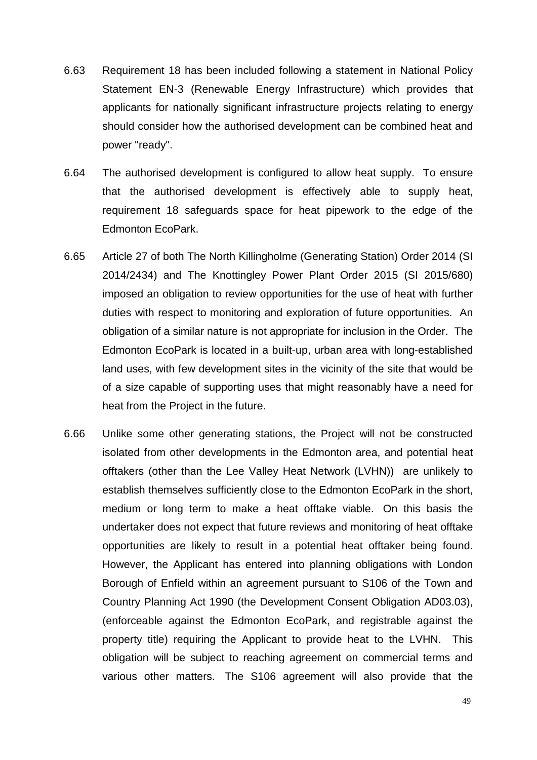- 6.63 Requirement 18 has been included following a statement in National Policy Statement EN-3 (Renewable Energy Infrastructure) which provides that applicants for nationally significant infrastructure projects relating to energy should consider how the authorised development can be combined heat and power "ready".
- 6.64 The authorised development is configured to allow heat supply. To ensure that the authorised development is effectively able to supply heat, requirement 18 safeguards space for heat pipework to the edge of the Edmonton EcoPark.
- 6.65 Article 27 of both The North Killingholme (Generating Station) Order 2014 (SI 2014/2434) and The Knottingley Power Plant Order 2015 (SI 2015/680) imposed an obligation to review opportunities for the use of heat with further duties with respect to monitoring and exploration of future opportunities. An obligation of a similar nature is not appropriate for inclusion in the Order. The Edmonton EcoPark is located in a built-up, urban area with long-established land uses, with few development sites in the vicinity of the site that would be of a size capable of supporting uses that might reasonably have a need for heat from the Project in the future.
- 6.66 Unlike some other generating stations, the Project will not be constructed isolated from other developments in the Edmonton area, and potential heat offtakers (other than the Lee Valley Heat Network (LVHN)) are unlikely to establish themselves sufficiently close to the Edmonton EcoPark in the short, medium or long term to make a heat offtake viable. On this basis the undertaker does not expect that future reviews and monitoring of heat offtake opportunities are likely to result in a potential heat offtaker being found. However, the Applicant has entered into planning obligations with London Borough of Enfield within an agreement pursuant to S106 of the Town and Country Planning Act 1990 (the Development Consent Obligation AD03.03), (enforceable against the Edmonton EcoPark, and registrable against the property title) requiring the Applicant to provide heat to the LVHN. This obligation will be subject to reaching agreement on commercial terms and various other matters. The S106 agreement will also provide that the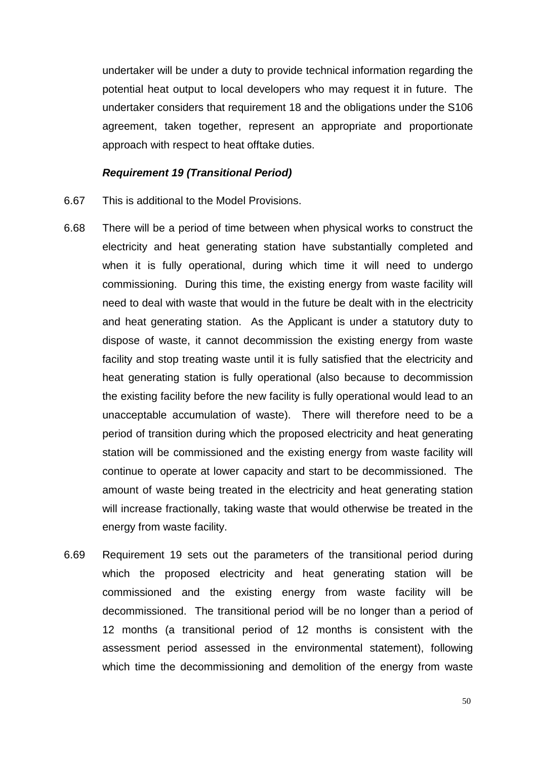undertaker will be under a duty to provide technical information regarding the potential heat output to local developers who may request it in future. The undertaker considers that requirement 18 and the obligations under the S106 agreement, taken together, represent an appropriate and proportionate approach with respect to heat offtake duties.

#### *Requirement 19 (Transitional Period)*

- 6.67 This is additional to the Model Provisions.
- 6.68 There will be a period of time between when physical works to construct the electricity and heat generating station have substantially completed and when it is fully operational, during which time it will need to undergo commissioning. During this time, the existing energy from waste facility will need to deal with waste that would in the future be dealt with in the electricity and heat generating station. As the Applicant is under a statutory duty to dispose of waste, it cannot decommission the existing energy from waste facility and stop treating waste until it is fully satisfied that the electricity and heat generating station is fully operational (also because to decommission the existing facility before the new facility is fully operational would lead to an unacceptable accumulation of waste). There will therefore need to be a period of transition during which the proposed electricity and heat generating station will be commissioned and the existing energy from waste facility will continue to operate at lower capacity and start to be decommissioned. The amount of waste being treated in the electricity and heat generating station will increase fractionally, taking waste that would otherwise be treated in the energy from waste facility.
- 6.69 Requirement 19 sets out the parameters of the transitional period during which the proposed electricity and heat generating station will be commissioned and the existing energy from waste facility will be decommissioned. The transitional period will be no longer than a period of 12 months (a transitional period of 12 months is consistent with the assessment period assessed in the environmental statement), following which time the decommissioning and demolition of the energy from waste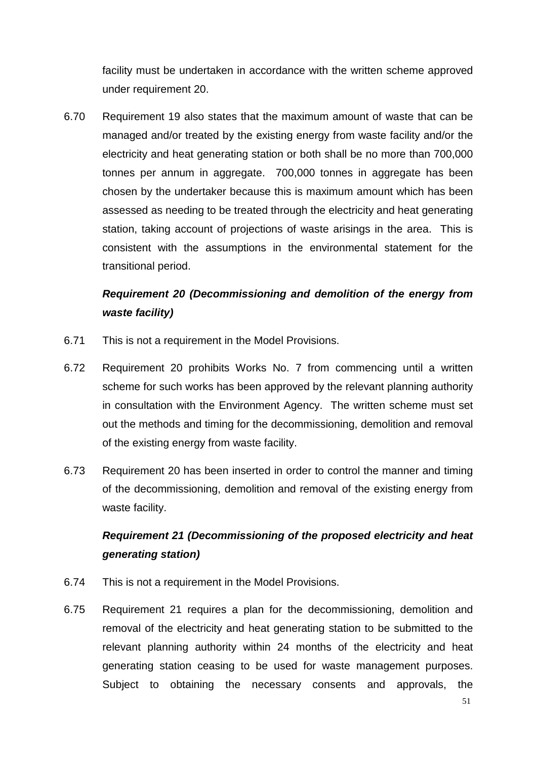facility must be undertaken in accordance with the written scheme approved under requirement 20.

6.70 Requirement 19 also states that the maximum amount of waste that can be managed and/or treated by the existing energy from waste facility and/or the electricity and heat generating station or both shall be no more than 700,000 tonnes per annum in aggregate. 700,000 tonnes in aggregate has been chosen by the undertaker because this is maximum amount which has been assessed as needing to be treated through the electricity and heat generating station, taking account of projections of waste arisings in the area. This is consistent with the assumptions in the environmental statement for the transitional period.

# *Requirement 20 (Decommissioning and demolition of the energy from waste facility)*

- 6.71 This is not a requirement in the Model Provisions.
- 6.72 Requirement 20 prohibits Works No. 7 from commencing until a written scheme for such works has been approved by the relevant planning authority in consultation with the Environment Agency. The written scheme must set out the methods and timing for the decommissioning, demolition and removal of the existing energy from waste facility.
- 6.73 Requirement 20 has been inserted in order to control the manner and timing of the decommissioning, demolition and removal of the existing energy from waste facility.

# *Requirement 21 (Decommissioning of the proposed electricity and heat generating station)*

- 6.74 This is not a requirement in the Model Provisions.
- 6.75 Requirement 21 requires a plan for the decommissioning, demolition and removal of the electricity and heat generating station to be submitted to the relevant planning authority within 24 months of the electricity and heat generating station ceasing to be used for waste management purposes. Subject to obtaining the necessary consents and approvals, the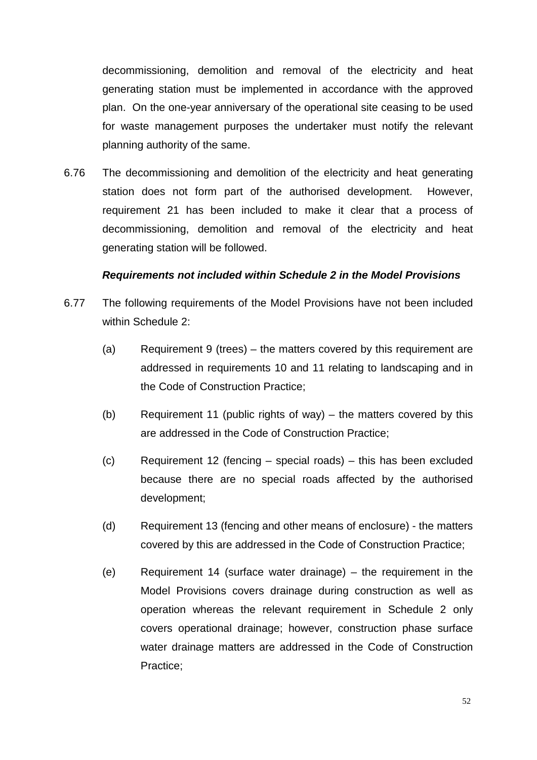decommissioning, demolition and removal of the electricity and heat generating station must be implemented in accordance with the approved plan. On the one-year anniversary of the operational site ceasing to be used for waste management purposes the undertaker must notify the relevant planning authority of the same.

6.76 The decommissioning and demolition of the electricity and heat generating station does not form part of the authorised development. However, requirement 21 has been included to make it clear that a process of decommissioning, demolition and removal of the electricity and heat generating station will be followed.

#### *Requirements not included within Schedule 2 in the Model Provisions*

- 6.77 The following requirements of the Model Provisions have not been included within Schedule 2:
	- (a) Requirement 9 (trees) the matters covered by this requirement are addressed in requirements 10 and 11 relating to landscaping and in the Code of Construction Practice;
	- (b) Requirement 11 (public rights of way) the matters covered by this are addressed in the Code of Construction Practice;
	- (c) Requirement 12 (fencing special roads) this has been excluded because there are no special roads affected by the authorised development;
	- (d) Requirement 13 (fencing and other means of enclosure) the matters covered by this are addressed in the Code of Construction Practice;
	- (e) Requirement 14 (surface water drainage) the requirement in the Model Provisions covers drainage during construction as well as operation whereas the relevant requirement in Schedule 2 only covers operational drainage; however, construction phase surface water drainage matters are addressed in the Code of Construction Practice;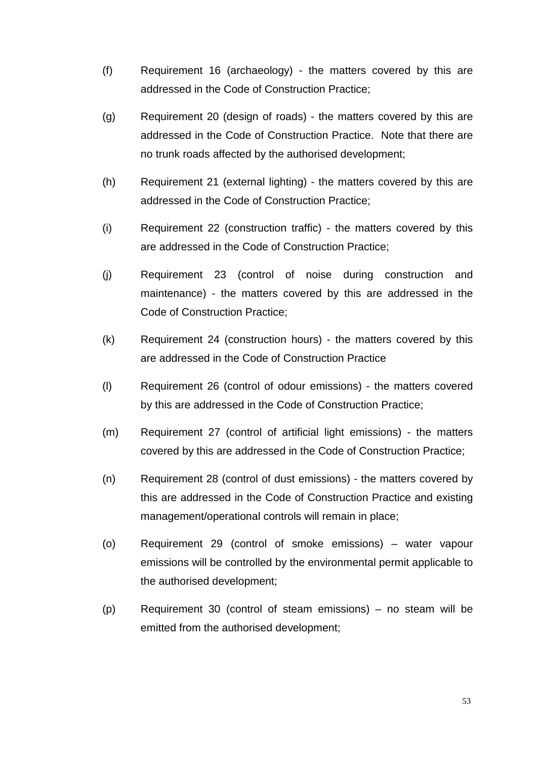- (f) Requirement 16 (archaeology) the matters covered by this are addressed in the Code of Construction Practice;
- (g) Requirement 20 (design of roads) the matters covered by this are addressed in the Code of Construction Practice. Note that there are no trunk roads affected by the authorised development;
- (h) Requirement 21 (external lighting) the matters covered by this are addressed in the Code of Construction Practice;
- (i) Requirement 22 (construction traffic) the matters covered by this are addressed in the Code of Construction Practice;
- (j) Requirement 23 (control of noise during construction and maintenance) - the matters covered by this are addressed in the Code of Construction Practice;
- (k) Requirement 24 (construction hours) the matters covered by this are addressed in the Code of Construction Practice
- (l) Requirement 26 (control of odour emissions) the matters covered by this are addressed in the Code of Construction Practice;
- (m) Requirement 27 (control of artificial light emissions) the matters covered by this are addressed in the Code of Construction Practice;
- (n) Requirement 28 (control of dust emissions) the matters covered by this are addressed in the Code of Construction Practice and existing management/operational controls will remain in place;
- (o) Requirement 29 (control of smoke emissions) water vapour emissions will be controlled by the environmental permit applicable to the authorised development;
- (p) Requirement 30 (control of steam emissions) no steam will be emitted from the authorised development;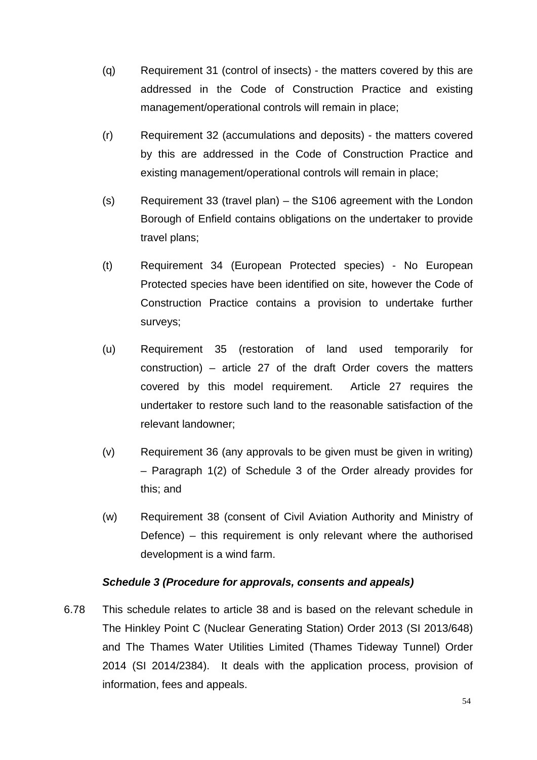- (q) Requirement 31 (control of insects) the matters covered by this are addressed in the Code of Construction Practice and existing management/operational controls will remain in place;
- (r) Requirement 32 (accumulations and deposits) the matters covered by this are addressed in the Code of Construction Practice and existing management/operational controls will remain in place;
- (s) Requirement 33 (travel plan) the S106 agreement with the London Borough of Enfield contains obligations on the undertaker to provide travel plans;
- (t) Requirement 34 (European Protected species) No European Protected species have been identified on site, however the Code of Construction Practice contains a provision to undertake further surveys;
- (u) Requirement 35 (restoration of land used temporarily for construction) – article 27 of the draft Order covers the matters covered by this model requirement. Article 27 requires the undertaker to restore such land to the reasonable satisfaction of the relevant landowner;
- (v) Requirement 36 (any approvals to be given must be given in writing) – Paragraph 1(2) of Schedule 3 of the Order already provides for this; and
- (w) Requirement 38 (consent of Civil Aviation Authority and Ministry of Defence) – this requirement is only relevant where the authorised development is a wind farm.

#### *Schedule 3 (Procedure for approvals, consents and appeals)*

6.78 This schedule relates to article 38 and is based on the relevant schedule in The Hinkley Point C (Nuclear Generating Station) Order 2013 (SI 2013/648) and The Thames Water Utilities Limited (Thames Tideway Tunnel) Order 2014 (SI 2014/2384). It deals with the application process, provision of information, fees and appeals.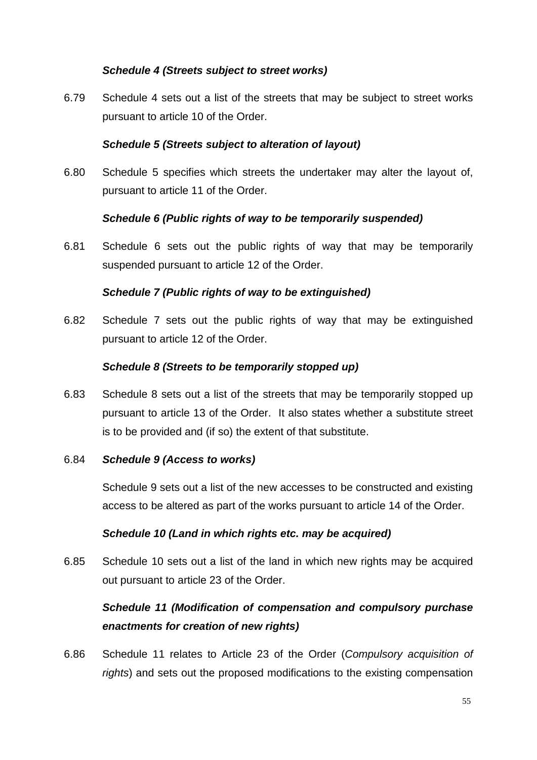#### *Schedule 4 (Streets subject to street works)*

6.79 Schedule 4 sets out a list of the streets that may be subject to street works pursuant to article 10 of the Order.

#### *Schedule 5 (Streets subject to alteration of layout)*

6.80 Schedule 5 specifies which streets the undertaker may alter the layout of, pursuant to article 11 of the Order.

#### *Schedule 6 (Public rights of way to be temporarily suspended)*

6.81 Schedule 6 sets out the public rights of way that may be temporarily suspended pursuant to article 12 of the Order.

#### *Schedule 7 (Public rights of way to be extinguished)*

6.82 Schedule 7 sets out the public rights of way that may be extinguished pursuant to article 12 of the Order.

#### *Schedule 8 (Streets to be temporarily stopped up)*

6.83 Schedule 8 sets out a list of the streets that may be temporarily stopped up pursuant to article 13 of the Order. It also states whether a substitute street is to be provided and (if so) the extent of that substitute.

#### 6.84 *Schedule 9 (Access to works)*

Schedule 9 sets out a list of the new accesses to be constructed and existing access to be altered as part of the works pursuant to article 14 of the Order.

#### *Schedule 10 (Land in which rights etc. may be acquired)*

6.85 Schedule 10 sets out a list of the land in which new rights may be acquired out pursuant to article 23 of the Order.

# *Schedule 11 (Modification of compensation and compulsory purchase enactments for creation of new rights)*

6.86 Schedule 11 relates to Article 23 of the Order (*Compulsory acquisition of rights*) and sets out the proposed modifications to the existing compensation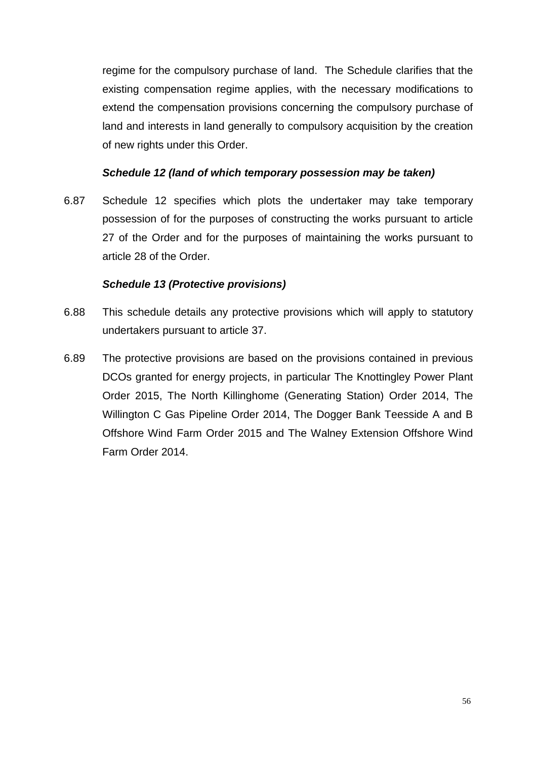regime for the compulsory purchase of land. The Schedule clarifies that the existing compensation regime applies, with the necessary modifications to extend the compensation provisions concerning the compulsory purchase of land and interests in land generally to compulsory acquisition by the creation of new rights under this Order.

#### *Schedule 12 (land of which temporary possession may be taken)*

6.87 Schedule 12 specifies which plots the undertaker may take temporary possession of for the purposes of constructing the works pursuant to article 27 of the Order and for the purposes of maintaining the works pursuant to article 28 of the Order.

#### *Schedule 13 (Protective provisions)*

- 6.88 This schedule details any protective provisions which will apply to statutory undertakers pursuant to article 37.
- 6.89 The protective provisions are based on the provisions contained in previous DCOs granted for energy projects, in particular The Knottingley Power Plant Order 2015, The North Killinghome (Generating Station) Order 2014, The Willington C Gas Pipeline Order 2014, The Dogger Bank Teesside A and B Offshore Wind Farm Order 2015 and The Walney Extension Offshore Wind Farm Order 2014.